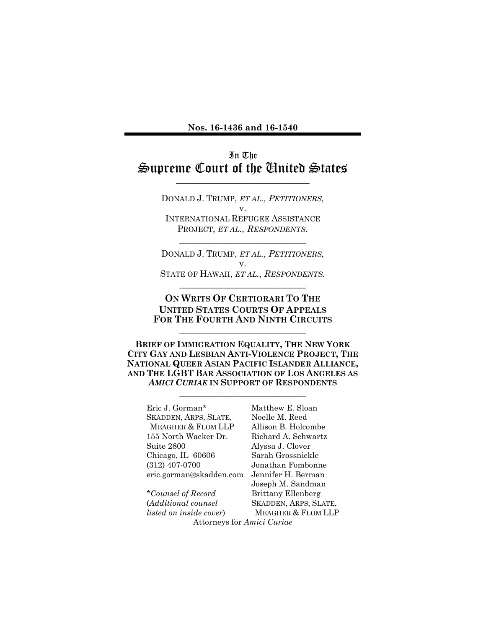**Nos. 16-1436 and 16-1540** 

### In The Supreme Court of the United States \_\_\_\_\_\_\_\_\_\_\_\_\_\_\_\_\_\_\_\_\_\_\_\_\_\_\_\_

DONALD J. TRUMP, *ET AL., PETITIONERS,* v. INTERNATIONAL REFUGEE ASSISTANCE PROJECT, *ET AL., RESPONDENTS.*

DONALD J. TRUMP, *ET AL., PETITIONERS,* v. STATE OF HAWAII, *ET AL., RESPONDENTS.*

\_\_\_\_\_\_\_\_\_\_\_\_\_\_\_\_\_\_\_\_\_\_\_\_\_\_\_\_\_

\_\_\_\_\_\_\_\_\_\_\_\_\_\_\_\_\_\_\_\_\_\_\_\_\_\_\_\_\_

### **ON WRITS OF CERTIORARI TO THE UNITED STATES COURTS OF APPEALS FOR THE FOURTH AND NINTH CIRCUITS**

\_\_\_\_\_\_\_\_\_\_\_\_\_\_\_\_\_\_\_\_\_\_\_\_\_\_\_\_\_

**BRIEF OF IMMIGRATION EQUALITY, THE NEW YORK CITY GAY AND LESBIAN ANTI-VIOLENCE PROJECT, THE NATIONAL QUEER ASIAN PACIFIC ISLANDER ALLIANCE, AND THE LGBT BAR ASSOCIATION OF LOS ANGELES AS**  *AMICI CURIAE* **IN SUPPORT OF RESPONDENTS**

\_\_\_\_\_\_\_\_\_\_\_\_\_\_\_\_\_\_\_\_\_\_\_\_\_\_\_\_\_

Eric J. Gorman\* SKADDEN, ARPS, SLATE, MEAGHER & FLOM LLP 155 North Wacker Dr. Suite 2800 Chicago, IL 60606 (312) 407-0700 eric.gorman@skadden.com

*\*Counsel of Record* (*Additional counsel listed on inside cover*)

Matthew E. Sloan Noelle M. Reed Allison B. Holcombe Richard A. Schwartz Alyssa J. Clover Sarah Grossnickle Jonathan Fombonne Jennifer H. Berman Joseph M. Sandman Brittany Ellenberg SKADDEN, ARPS, SLATE, MEAGHER & FLOM LLP Attorneys for *Amici Curiae*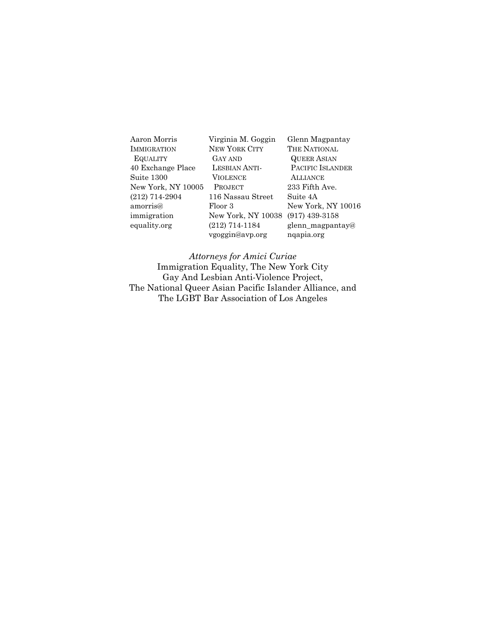| Aaron Morris       | Virginia M. Goggin   | Glenn Magpantay    |
|--------------------|----------------------|--------------------|
| <b>IMMIGRATION</b> | <b>NEW YORK CITY</b> | THE NATIONAL       |
| <b>EQUALITY</b>    | GAY AND              | <b>QUEER ASIAN</b> |
| 40 Exchange Place  | <b>LESBIAN ANTI-</b> | PACIFIC ISLANDER   |
| Suite 1300         | VIOLENCE             | <b>ALLIANCE</b>    |
| New York, NY 10005 | <b>PROJECT</b>       | 233 Fifth Ave.     |
| (212) 714-2904     | 116 Nassau Street    | Suite 4A           |
| amorris@           | Floor 3              | New York, NY 10016 |
| immigration        | New York, NY 10038   | $(917)$ 439-3158   |
| equality.org       | $(212)$ 714-1184     | glenn_magpantay@   |
|                    | vgoggin@avp.org      | ngapia.org         |

### *Attorneys for Amici Curiae*

Immigration Equality, The New York City Gay And Lesbian Anti-Violence Project, The National Queer Asian Pacific Islander Alliance, and The LGBT Bar Association of Los Angeles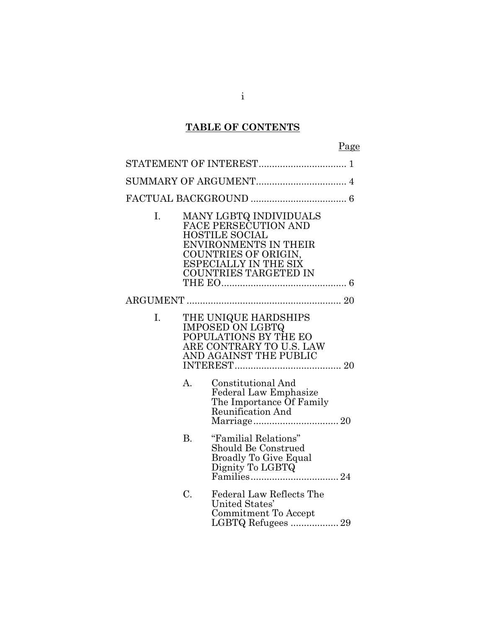# **TABLE OF CONTENTS**

| I. |           | MANY LGBTQ INDIVIDUALS<br>FACE PERSECUTION AND<br><b>HOSTILE SOCIAL</b><br><b>ENVIRONMENTS IN THEIR</b><br>COUNTRIES OF ORIGIN,<br><b>ESPECIALLY IN THE SIX</b><br><b>COUNTRIES TARGETED IN</b> |
|----|-----------|-------------------------------------------------------------------------------------------------------------------------------------------------------------------------------------------------|
|    |           |                                                                                                                                                                                                 |
| I. |           | THE UNIQUE HARDSHIPS<br><b>IMPOSED ON LGBTQ</b><br>POPULATIONS BY THE EO<br>ARE CONTRARY TO U.S. LAW<br>AND AGAINST THE PUBLIC                                                                  |
|    | A.        | <b>Constitutional And</b><br><b>Federal Law Emphasize</b><br>The Importance Of Family<br>Reunification And                                                                                      |
|    | <b>B.</b> | "Familial Relations"<br>Should Be Construed<br><b>Broadly To Give Equal</b><br>Dignity To LGBTQ                                                                                                 |
|    | C.        | <b>Federal Law Reflects The</b><br>United States'<br>Commitment To Accept<br>LGBTQ Refugees  29                                                                                                 |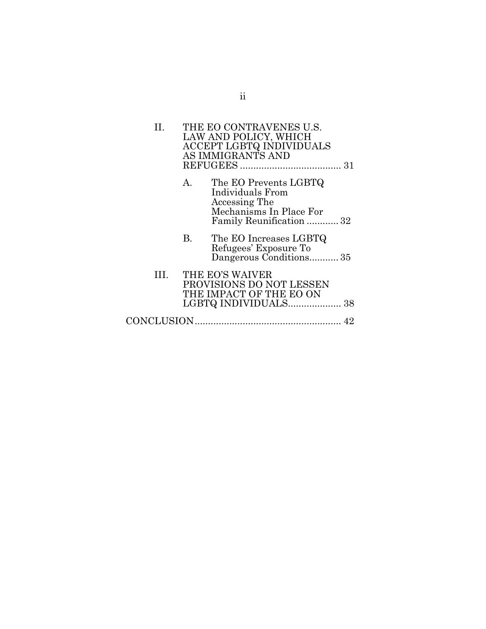| П.   |         | THE EO CONTRAVENES U.S.<br>LAW AND POLICY, WHICH<br>ACCEPT LGBTQ INDIVIDUALS<br>AS IMMIGRANTS AND                 |  |
|------|---------|-------------------------------------------------------------------------------------------------------------------|--|
|      | $A_{-}$ | The EO Prevents LGBTQ<br>Individuals From<br>Accessing The<br>Mechanisms In Place For<br>Family Reunification  32 |  |
|      | B.      | The EO Increases LGBTQ<br>Refugees' Exposure To<br>Dangerous Conditions35                                         |  |
| III. |         | THE EO'S WAIVER<br>PROVISIONS DO NOT LESSEN<br>THE IMPACT OF THE EO ON                                            |  |
|      |         |                                                                                                                   |  |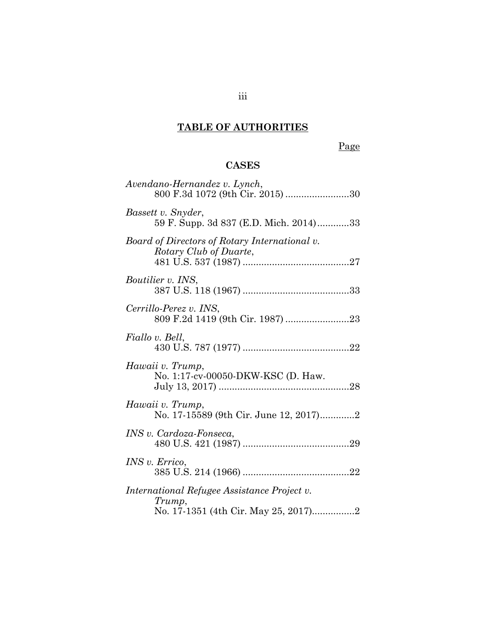# **TABLE OF AUTHORITIES**

# Page

## **CASES**

| Avendano-Hernandez v. Lynch,<br>800 F.3d 1072 (9th Cir. 2015) 30        |
|-------------------------------------------------------------------------|
| Bassett v. Snyder,<br>59 F. Supp. 3d 837 (E.D. Mich. 2014)33            |
| Board of Directors of Rotary International v.<br>Rotary Club of Duarte, |
| <i>Boutilier v. INS,</i>                                                |
| Cerrillo-Perez v. INS,                                                  |
| Fiallo v. Bell,                                                         |
| Hawaii v. Trump,<br>No. 1:17-cv-00050-DKW-KSC (D. Haw.                  |
| Hawaii v. Trump,<br>No. 17-15589 (9th Cir. June 12, 2017)2              |
| INS v. Cardoza-Fonseca,                                                 |
| INS v. Errico,                                                          |
| International Refugee Assistance Project v.<br>Trump,                   |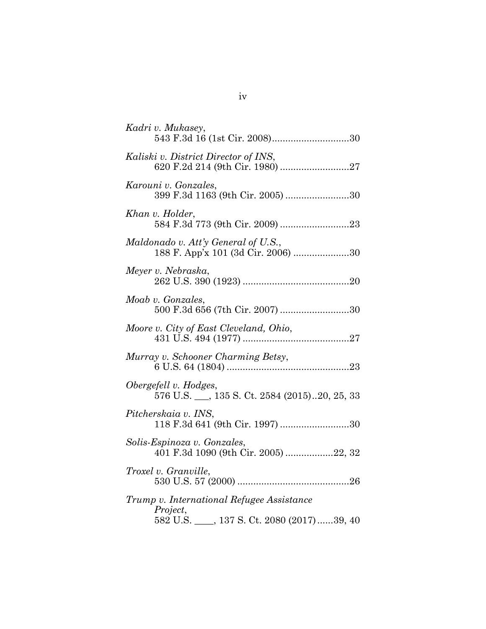| Kadri v. Mukasey,<br>543 F.3d 16 (1st Cir. 2008)30                                               |
|--------------------------------------------------------------------------------------------------|
| Kaliski v. District Director of INS,<br>620 F.2d 214 (9th Cir. 1980) 27                          |
| Karouni v. Gonzales,<br>399 F.3d 1163 (9th Cir. 2005) 30                                         |
| Khan v. Holder,                                                                                  |
| Maldonado v. Att'y General of U.S.,<br>188 F. App'x 101 (3d Cir. 2006) 30                        |
| Meyer v. Nebraska,                                                                               |
| Moab v. Gonzales,<br>500 F.3d 656 (7th Cir. 2007) 30                                             |
| Moore v. City of East Cleveland, Ohio,                                                           |
| Murray v. Schooner Charming Betsy,                                                               |
| Obergefell v. Hodges,<br>576 U.S. __, 135 S. Ct. 2584 (2015)20, 25, 33                           |
| Pitcherskaia v. INS,<br>118 F.3d 641 (9th Cir. 1997) 30                                          |
| Solis-Espinoza v. Gonzales,<br>401 F.3d 1090 (9th Cir. 2005) 22, 32                              |
| Troxel v. Granville,                                                                             |
| Trump v. International Refugee Assistance<br>Project,<br>582 U.S. 137 S. Ct. 2080 (2017)  39, 40 |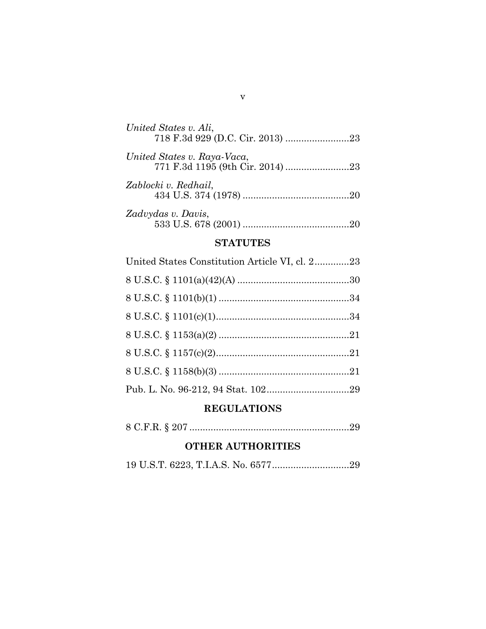| United States v. Ali,       |
|-----------------------------|
| United States v. Raya-Vaca, |
| Zablocki v. Redhail,        |
| Zadvydas v. Davis,          |

## **STATUTES**

| United States Constitution Article VI, cl. 223 |  |
|------------------------------------------------|--|
|                                                |  |
|                                                |  |
|                                                |  |
|                                                |  |
|                                                |  |
|                                                |  |
|                                                |  |

### **REGULATIONS**

|--|--|--|--|

### **OTHER AUTHORITIES**

|--|--|--|--|--|--|--|

v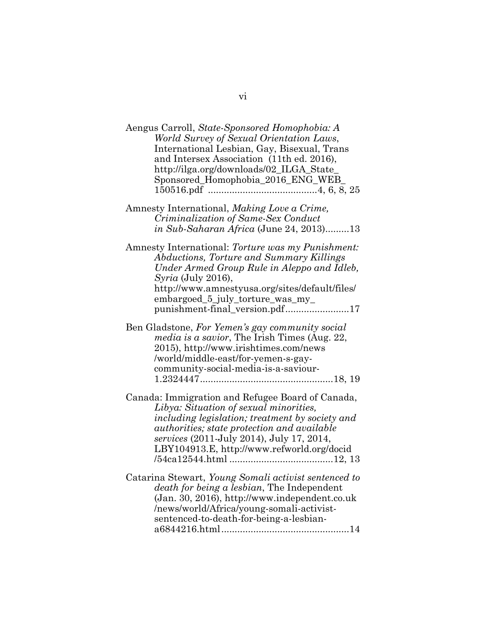| Aengus Carroll, State-Sponsored Homophobia: A<br>World Survey of Sexual Orientation Laws,<br>International Lesbian, Gay, Bisexual, Trans<br>and Intersex Association (11th ed. 2016),<br>http://ilga.org/downloads/02_ILGA_State_<br>Sponsored_Homophobia_2016_ENG_WEB                         |
|------------------------------------------------------------------------------------------------------------------------------------------------------------------------------------------------------------------------------------------------------------------------------------------------|
| Amnesty International, Making Love a Crime,<br>Criminalization of Same-Sex Conduct<br>in Sub-Saharan Africa (June 24, 2013)13                                                                                                                                                                  |
| Amnesty International: Torture was my Punishment:<br>Abductions, Torture and Summary Killings<br>Under Armed Group Rule in Aleppo and Idleb,<br>$Syria$ (July 2016),<br>http://www.amnestyusa.org/sites/default/files/<br>embargoed_5_july_torture_was_my_<br>punishment-final_version.pdf17   |
| Ben Gladstone, For Yemen's gay community social<br>media is a savior, The Irish Times (Aug. 22,<br>2015), http://www.irishtimes.com/news<br>/world/middle-east/for-yemen-s-gay-<br>community-social-media-is-a-saviour-                                                                        |
| Canada: Immigration and Refugee Board of Canada,<br>Libya: Situation of sexual minorities,<br>including legislation; treatment by society and<br><i>authorities; state protection and available</i><br>services (2011-July 2014), July 17, 2014,<br>LBY104913.E, http://www.refworld.org/docid |
| Catarina Stewart, Young Somali activist sentenced to<br>death for being a lesbian, The Independent<br>(Jan. 30, 2016), http://www.independent.co.uk<br>/news/world/Africa/young-somali-activist-<br>sentenced-to-death-for-being-a-lesbian-                                                    |

vi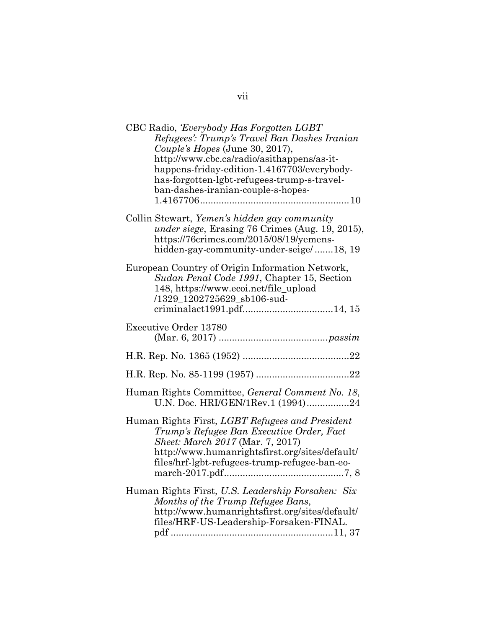| CBC Radio, Everybody Has Forgotten LGBT<br>Refugees': Trump's Travel Ban Dashes Iranian<br>Couple's Hopes (June 30, 2017),<br>http://www.cbc.ca/radio/asithappens/as-it-<br>happens-friday-edition-1.4167703/everybody-<br>has-forgotten-lgbt-refugees-trump-s-travel-<br>ban-dashes-iranian-couple-s-hopes- |
|--------------------------------------------------------------------------------------------------------------------------------------------------------------------------------------------------------------------------------------------------------------------------------------------------------------|
| Collin Stewart, Yemen's hidden gay community<br>under siege, Erasing 76 Crimes (Aug. 19, 2015),<br>https://76crimes.com/2015/08/19/yemens-<br>hidden-gay-community-under-seige/18, 19                                                                                                                        |
| European Country of Origin Information Network,<br>Sudan Penal Code 1991, Chapter 15, Section<br>148, https://www.ecoi.net/file_upload<br>/1329_1202725629_sb106-sud-<br>criminalact1991.pdf14, 15                                                                                                           |
| <b>Executive Order 13780</b>                                                                                                                                                                                                                                                                                 |
|                                                                                                                                                                                                                                                                                                              |
|                                                                                                                                                                                                                                                                                                              |
| Human Rights Committee, General Comment No. 18,<br>U.N. Doc. HRI/GEN/1Rev.1 (1994)24                                                                                                                                                                                                                         |
| Human Rights First, LGBT Refugees and President<br>Trump's Refugee Ban Executive Order, Fact<br>Sheet: March 2017 (Mar. 7, 2017)<br>http://www.humanrightsfirst.org/sites/default/<br>files/hrf-lgbt-refugees-trump-refugee-ban-eo-                                                                          |
| Human Rights First, U.S. Leadership Forsaken: Six<br>Months of the Trump Refugee Bans,<br>http://www.humanrightsfirst.org/sites/default/<br>files/HRF-US-Leadership-Forsaken-FINAL.                                                                                                                          |

vii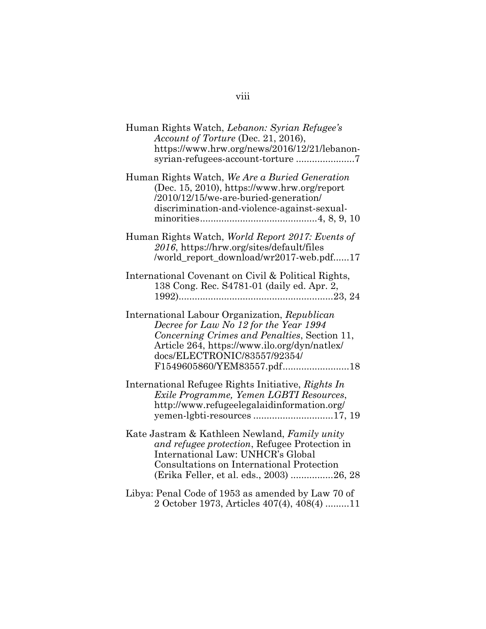| Human Rights Watch, Lebanon: Syrian Refugee's<br>Account of Torture (Dec. 21, 2016),<br>https://www.hrw.org/news/2016/12/21/lebanon-                                                                                                                  |
|-------------------------------------------------------------------------------------------------------------------------------------------------------------------------------------------------------------------------------------------------------|
| Human Rights Watch, We Are a Buried Generation<br>(Dec. 15, 2010), https://www.hrw.org/report<br>/2010/12/15/we-are-buried-generation/<br>discrimination-and-violence-against-sexual-                                                                 |
| Human Rights Watch, World Report 2017: Events of<br>2016, https://hrw.org/sites/default/files<br>/world_report_download/wr2017-web.pdf17                                                                                                              |
| International Covenant on Civil & Political Rights,<br>138 Cong. Rec. S4781-01 (daily ed. Apr. 2,                                                                                                                                                     |
| International Labour Organization, Republican<br>Decree for Law No 12 for the Year 1994<br>Concerning Crimes and Penalties, Section 11,<br>Article 264, https://www.ilo.org/dyn/natlex/<br>docs/ELECTRONIC/83557/92354/<br>F1549605860/YEM83557.pdf18 |
| International Refugee Rights Initiative, Rights In<br>Exile Programme, Yemen LGBTI Resources,<br>http://www.refugeelegalaidinformation.org/                                                                                                           |
| Kate Jastram & Kathleen Newland, Family unity<br>and refugee protection, Refugee Protection in<br>International Law: UNHCR's Global<br>Consultations on International Protection<br>(Erika Feller, et al. eds., 2003) 26, 28                          |
| Libya: Penal Code of 1953 as amended by Law 70 of<br>2 October 1973, Articles 407(4), 408(4) 11                                                                                                                                                       |

## viii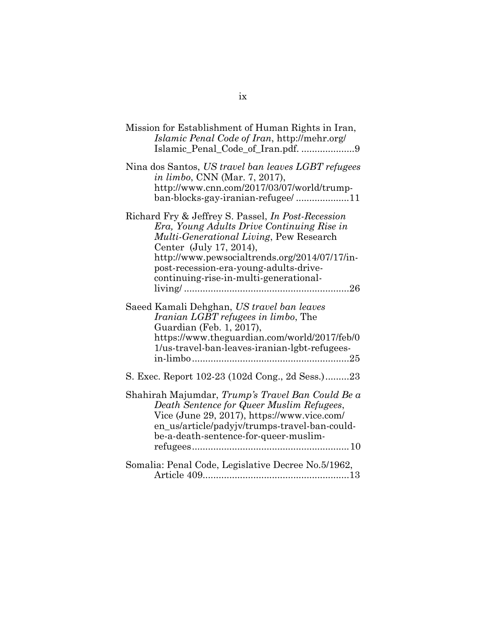| Mission for Establishment of Human Rights in Iran,<br>Islamic Penal Code of Iran, http://mehr.org/<br>Islamic_Penal_Code_of_Iran.pdf. 9                                                                                                                                                                            |
|--------------------------------------------------------------------------------------------------------------------------------------------------------------------------------------------------------------------------------------------------------------------------------------------------------------------|
| Nina dos Santos, US travel ban leaves LGBT refugees<br><i>in limbo</i> , CNN (Mar. 7, 2017),<br>http://www.cnn.com/2017/03/07/world/trump-<br>ban-blocks-gay-iranian-refugee/11                                                                                                                                    |
| Richard Fry & Jeffrey S. Passel, <i>In Post-Recession</i><br>Era, Young Adults Drive Continuing Rise in<br>Multi-Generational Living, Pew Research<br>Center (July 17, 2014),<br>http://www.pewsocialtrends.org/2014/07/17/in-<br>post-recession-era-young-adults-drive-<br>continuing-rise-in-multi-generational- |
| Saeed Kamali Dehghan, US travel ban leaves<br><i>Iranian LGBT refugees in limbo</i> , The<br>Guardian (Feb. 1, 2017),<br>https://www.theguardian.com/world/2017/feb/0<br>1/us-travel-ban-leaves-iranian-lgbt-refugees-                                                                                             |
| S. Exec. Report 102-23 (102d Cong., 2d Sess.)23                                                                                                                                                                                                                                                                    |
| Shahirah Majumdar, Trump's Travel Ban Could Be a<br>Death Sentence for Queer Muslim Refugees,<br>Vice (June 29, 2017), https://www.vice.com/<br>en_us/article/padyjv/trumps-travel-ban-could-<br>be-a-death-sentence-for-queer-muslim-                                                                             |
| Somalia: Penal Code, Legislative Decree No.5/1962,                                                                                                                                                                                                                                                                 |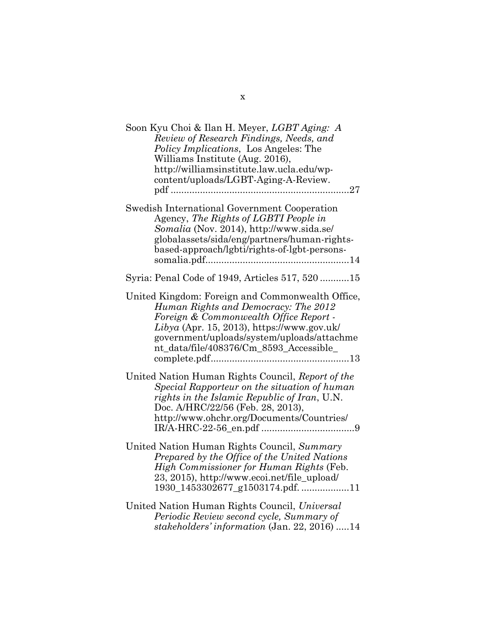| Soon Kyu Choi & Ilan H. Meyer, LGBT Aging: A<br>Review of Research Findings, Needs, and<br><i>Policy Implications</i> , Los Angeles: The<br>Williams Institute (Aug. 2016),<br>http://williamsinstitute.law.ucla.edu/wp-<br>content/uploads/LGBT-Aging-A-Review.            |
|-----------------------------------------------------------------------------------------------------------------------------------------------------------------------------------------------------------------------------------------------------------------------------|
| Swedish International Government Cooperation<br>Agency, The Rights of LGBTI People in<br>Somalia (Nov. 2014), http://www.sida.se/<br>globalassets/sida/eng/partners/human-rights-<br>based-approach/lgbti/rights-of-lgbt-persons-                                           |
| Syria: Penal Code of 1949, Articles 517, 520 15                                                                                                                                                                                                                             |
| United Kingdom: Foreign and Commonwealth Office,<br>Human Rights and Democracy: The 2012<br>Foreign & Commonwealth Office Report -<br>$Libya$ (Apr. 15, 2013), https://www.gov.uk/<br>government/uploads/system/uploads/attachme<br>nt_data/file/408376/Cm_8593_Accessible_ |
| United Nation Human Rights Council, Report of the<br>Special Rapporteur on the situation of human<br>rights in the Islamic Republic of Iran, U.N.<br>Doc. A/HRC/22/56 (Feb. 28, 2013),<br>http://www.ohchr.org/Documents/Countries/                                         |
| United Nation Human Rights Council, Summary<br>Prepared by the Office of the United Nations<br>High Commissioner for Human Rights (Feb.<br>23, 2015), http://www.ecoi.net/file_upload/<br>1930_1453302677_g1503174.pdf. 11                                                  |
| United Nation Human Rights Council, Universal<br>Periodic Review second cycle, Summary of<br>stakeholders' information (Jan. 22, 2016) 14                                                                                                                                   |

x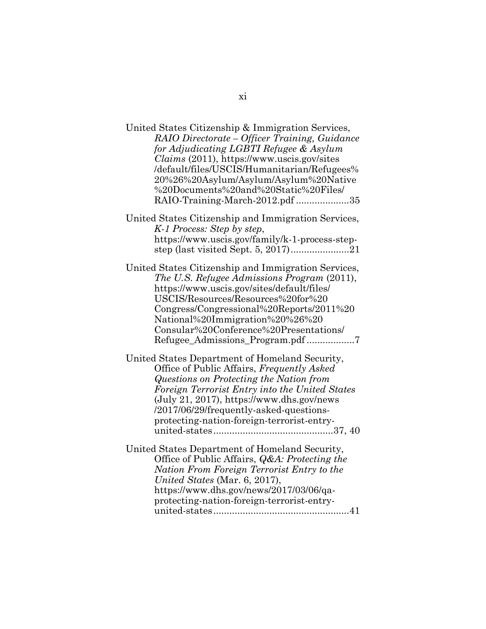| United States Citizenship & Immigration Services,<br>RAIO Directorate – Officer Training, Guidance<br>for Adjudicating LGBTI Refugee & Asylum<br>Claims (2011), https://www.uscis.gov/sites<br>/default/files/USCIS/Humanitarian/Refugees%<br>20%26%20Asylum/Asylum/Asylum%20Native<br>%20Documents%20and%20Static%20Files/<br>RAIO-Training-March-2012.pdf 35 |
|----------------------------------------------------------------------------------------------------------------------------------------------------------------------------------------------------------------------------------------------------------------------------------------------------------------------------------------------------------------|
| United States Citizenship and Immigration Services,<br>K-1 Process: Step by step,<br>https://www.uscis.gov/family/k-1-process-step-                                                                                                                                                                                                                            |
| United States Citizenship and Immigration Services,<br>The U.S. Refugee Admissions Program (2011),<br>https://www.uscis.gov/sites/default/files/<br>USCIS/Resources/Resources%20for%20<br>Congress/Congressional%20Reports/2011%20<br>National%20Immigration%20%26%20<br>Consular%20Conference%20Presentations/<br>Refugee_Admissions_Program.pdf7             |
| United States Department of Homeland Security,<br>Office of Public Affairs, Frequently Asked<br>Questions on Protecting the Nation from<br>Foreign Terrorist Entry into the United States<br>(July 21, 2017), https://www.dhs.gov/news<br>/2017/06/29/frequently-asked-questions-<br>protecting-nation-foreign-terrorist-entry-                                |
| United States Department of Homeland Security,<br>Office of Public Affairs, <i>Q&amp;A: Protecting the</i><br>Nation From Foreign Terrorist Entry to the<br>United States (Mar. 6, 2017),<br>https://www.dhs.gov/news/2017/03/06/qa-<br>protecting-nation-foreign-terrorist-entry-                                                                             |

xi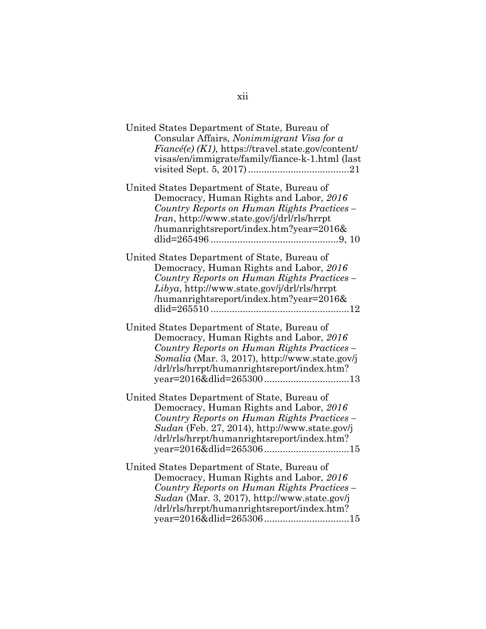| United States Department of State, Bureau of<br>Consular Affairs, Nonimmigrant Visa for a<br>$Fiancé(e)$ (K1), https://travel.state.gov/content/<br>visas/en/immigrate/family/fiance-k-1.html (last                                     |
|-----------------------------------------------------------------------------------------------------------------------------------------------------------------------------------------------------------------------------------------|
| United States Department of State, Bureau of<br>Democracy, Human Rights and Labor, 2016<br>Country Reports on Human Rights Practices –<br><i>Iran</i> , http://www.state.gov/j/drl/rls/hrrpt<br>/humanrightsreport/index.htm?year=2016& |
| United States Department of State, Bureau of<br>Democracy, Human Rights and Labor, 2016<br>Country Reports on Human Rights Practices -<br>$Libya$ , http://www.state.gov/j/drl/rls/hrrpt<br>/humanrightsreport/index.htm?year=2016&     |
| United States Department of State, Bureau of<br>Democracy, Human Rights and Labor, 2016<br>Country Reports on Human Rights Practices -<br>Somalia (Mar. 3, 2017), http://www.state.gov/j<br>/drl/rls/hrrpt/humanrightsreport/index.htm? |
| United States Department of State, Bureau of<br>Democracy, Human Rights and Labor, 2016<br>Country Reports on Human Rights Practices -<br>Sudan (Feb. 27, 2014), http://www.state.gov/j<br>/drl/rls/hrrpt/humanrightsreport/index.htm?  |
| United States Department of State, Bureau of<br>Democracy, Human Rights and Labor, 2016<br>Country Reports on Human Rights Practices -<br>Sudan (Mar. 3, 2017), http://www.state.gov/j<br>/drl/rls/hrrpt/humanrightsreport/index.htm?   |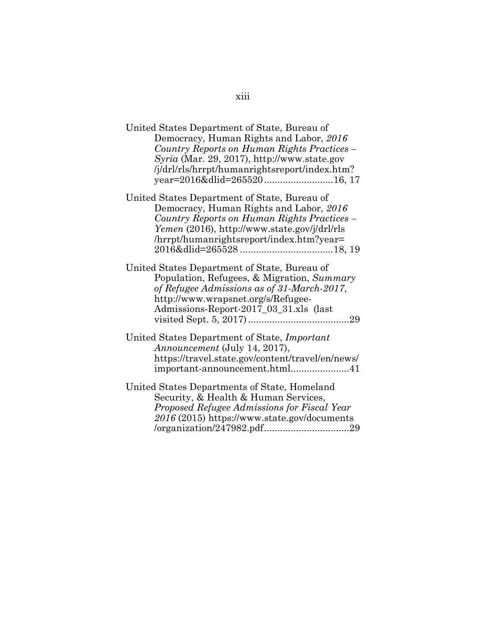| United States Department of State, Bureau of                                               |
|--------------------------------------------------------------------------------------------|
| Democracy, Human Rights and Labor, 2016                                                    |
| Country Reports on Human Rights Practices -<br>Syria (Mar. 29, 2017), http://www.state.gov |
|                                                                                            |
| /j/drl/rls/hrrpt/humanrightsreport/index.htm?                                              |
|                                                                                            |
| United States Department of State, Bureau of                                               |
| Democracy, Human Rights and Labor, 2016                                                    |
| Country Reports on Human Rights Practices -                                                |
| Yemen (2016), http://www.state.gov/j/drl/rls                                               |
| /hrrpt/humanrightsreport/index.htm?year=                                                   |
|                                                                                            |
| United States Department of State, Bureau of                                               |
| Population, Refugees, & Migration, Summary                                                 |
| of Refugee Admissions as of 31-March-2017,                                                 |
| http://www.wrapsnet.org/s/Refugee-                                                         |
| Admissions-Report-2017_03_31.xls (last                                                     |
|                                                                                            |
| United States Department of State, <i>Important</i>                                        |
| <i>Announcement</i> (July 14, 2017),                                                       |
| https://travel.state.gov/content/travel/en/news/                                           |
| important-announcement.html41                                                              |
| United States Departments of State, Homeland                                               |
| Security, & Health & Human Services,                                                       |

*Proposed Refugee Admissions for Fiscal Year 2016* (2015) https://www.state.gov/documents /organization/247982.pdf ................................ 29

### xiii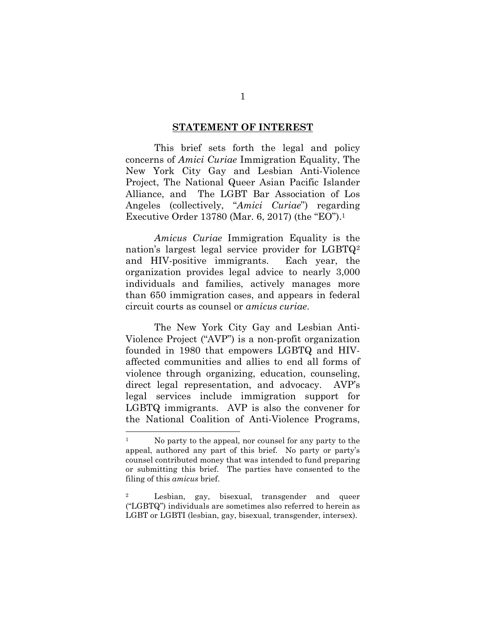#### **STATEMENT OF INTEREST**

This brief sets forth the legal and policy concerns of *Amici Curiae* Immigration Equality, The New York City Gay and Lesbian Anti-Violence Project, The National Queer Asian Pacific Islander Alliance, and The LGBT Bar Association of Los Angeles (collectively, "*Amici Curiae*") regarding Executive Order 13780 (Mar. 6, 2017) (the "EO").<sup>1</sup>

*Amicus Curiae* Immigration Equality is the nation's largest legal service provider for LGBTQ<sup>2</sup> and HIV-positive immigrants. Each year, the organization provides legal advice to nearly 3,000 individuals and families, actively manages more than 650 immigration cases, and appears in federal circuit courts as counsel or *amicus curiae*.

The New York City Gay and Lesbian Anti-Violence Project ("AVP") is a non-profit organization founded in 1980 that empowers LGBTQ and HIVaffected communities and allies to end all forms of violence through organizing, education, counseling, direct legal representation, and advocacy. AVP's legal services include immigration support for LGBTQ immigrants. AVP is also the convener for the National Coalition of Anti-Violence Programs,

<sup>&</sup>lt;sup>1</sup> No party to the appeal, nor counsel for any party to the appeal, authored any part of this brief. No party or party's counsel contributed money that was intended to fund preparing or submitting this brief. The parties have consented to the filing of this *amicus* brief.

<sup>2</sup> Lesbian, gay, bisexual, transgender and queer ("LGBTQ") individuals are sometimes also referred to herein as LGBT or LGBTI (lesbian, gay, bisexual, transgender, intersex).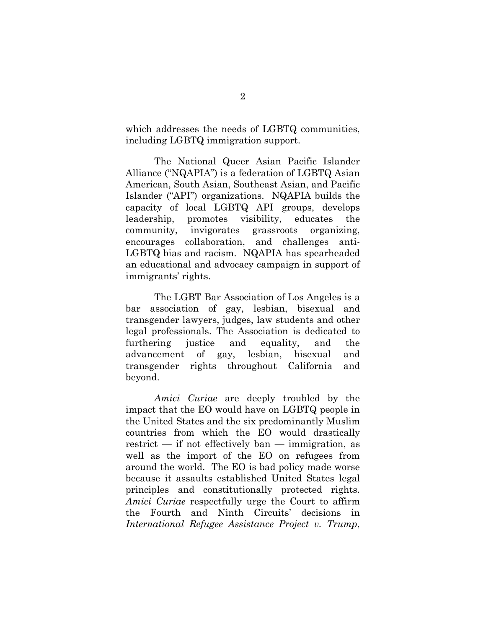which addresses the needs of LGBTQ communities, including LGBTQ immigration support.

The National Queer Asian Pacific Islander Alliance ("NQAPIA") is a federation of LGBTQ Asian American, South Asian, Southeast Asian, and Pacific Islander ("API") organizations. NQAPIA builds the capacity of local LGBTQ API groups, develops leadership, promotes visibility, educates the community, invigorates grassroots organizing, encourages collaboration, and challenges anti-LGBTQ bias and racism. NQAPIA has spearheaded an educational and advocacy campaign in support of immigrants' rights.

The LGBT Bar Association of Los Angeles is a bar association of gay, lesbian, bisexual and transgender lawyers, judges, law students and other legal professionals. The Association is dedicated to furthering justice and equality, and the advancement of gay, lesbian, bisexual and transgender rights throughout California and beyond.

*Amici Curiae* are deeply troubled by the impact that the EO would have on LGBTQ people in the United States and the six predominantly Muslim countries from which the EO would drastically restrict  $-$  if not effectively ban  $-$  immigration, as well as the import of the EO on refugees from around the world. The EO is bad policy made worse because it assaults established United States legal principles and constitutionally protected rights. *Amici Curiae* respectfully urge the Court to affirm the Fourth and Ninth Circuits' decisions in *International Refugee Assistance Project v. Trump*,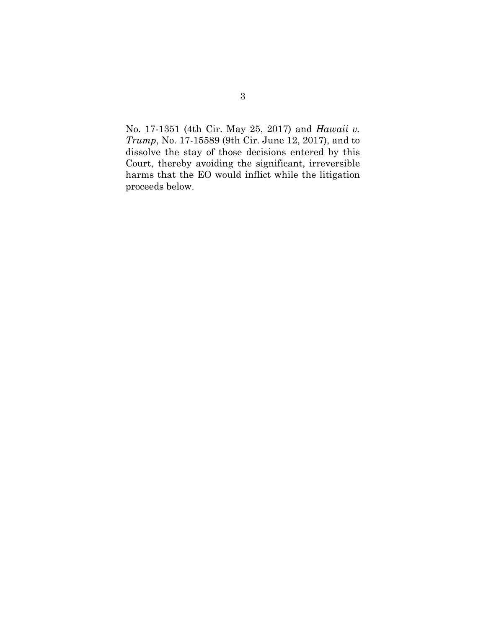No. 17-1351 (4th Cir. May 25, 2017) and *Hawaii v. Trump*, No. 17-15589 (9th Cir. June 12, 2017), and to dissolve the stay of those decisions entered by this Court, thereby avoiding the significant, irreversible harms that the EO would inflict while the litigation proceeds below.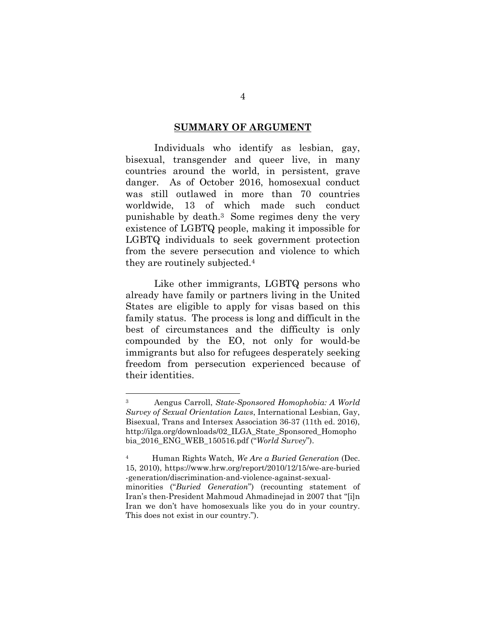#### **SUMMARY OF ARGUMENT**

Individuals who identify as lesbian, gay, bisexual, transgender and queer live, in many countries around the world, in persistent, grave danger. As of October 2016, homosexual conduct was still outlawed in more than 70 countries worldwide, 13 of which made such conduct punishable by death.3 Some regimes deny the very existence of LGBTQ people, making it impossible for LGBTQ individuals to seek government protection from the severe persecution and violence to which they are routinely subjected.<sup>4</sup>

Like other immigrants, LGBTQ persons who already have family or partners living in the United States are eligible to apply for visas based on this family status. The process is long and difficult in the best of circumstances and the difficulty is only compounded by the EO, not only for would-be immigrants but also for refugees desperately seeking freedom from persecution experienced because of their identities.

<sup>3</sup> Aengus Carroll, *State-Sponsored Homophobia: A World Survey of Sexual Orientation Laws*, International Lesbian, Gay, Bisexual, Trans and Intersex Association 36-37 (11th ed. 2016), http://ilga.org/downloads/02\_ILGA\_State\_Sponsored\_Homopho bia\_2016\_ENG\_WEB\_150516.pdf ("*World Survey*").

<sup>4</sup> Human Rights Watch, *We Are a Buried Generation* (Dec. 15, 2010), https://www.hrw.org/report/2010/12/15/we-are-buried -generation/discrimination-and-violence-against-sexualminorities ("*Buried Generation*") (recounting statement of Iran's then-President Mahmoud Ahmadinejad in 2007 that "[i]n Iran we don't have homosexuals like you do in your country. This does not exist in our country.").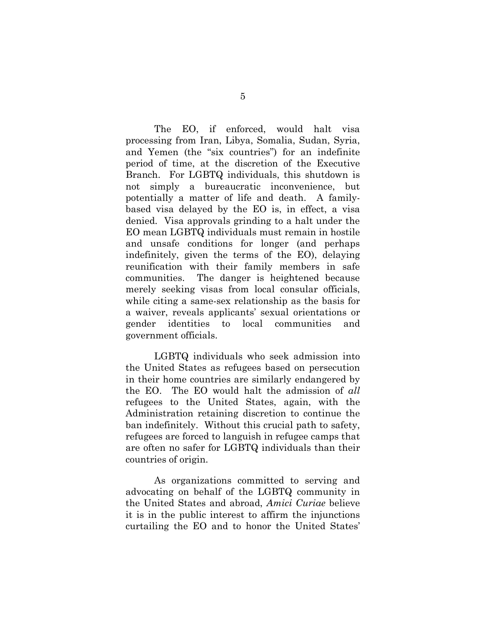The EO, if enforced, would halt visa processing from Iran, Libya, Somalia, Sudan, Syria, and Yemen (the "six countries") for an indefinite period of time, at the discretion of the Executive Branch. For LGBTQ individuals, this shutdown is not simply a bureaucratic inconvenience, but potentially a matter of life and death. A familybased visa delayed by the EO is, in effect, a visa denied. Visa approvals grinding to a halt under the EO mean LGBTQ individuals must remain in hostile and unsafe conditions for longer (and perhaps indefinitely, given the terms of the EO), delaying reunification with their family members in safe communities. The danger is heightened because merely seeking visas from local consular officials, while citing a same-sex relationship as the basis for a waiver, reveals applicants' sexual orientations or gender identities to local communities and government officials.

LGBTQ individuals who seek admission into the United States as refugees based on persecution in their home countries are similarly endangered by the EO. The EO would halt the admission of *all* refugees to the United States, again, with the Administration retaining discretion to continue the ban indefinitely. Without this crucial path to safety, refugees are forced to languish in refugee camps that are often no safer for LGBTQ individuals than their countries of origin.

As organizations committed to serving and advocating on behalf of the LGBTQ community in the United States and abroad, *Amici Curiae* believe it is in the public interest to affirm the injunctions curtailing the EO and to honor the United States'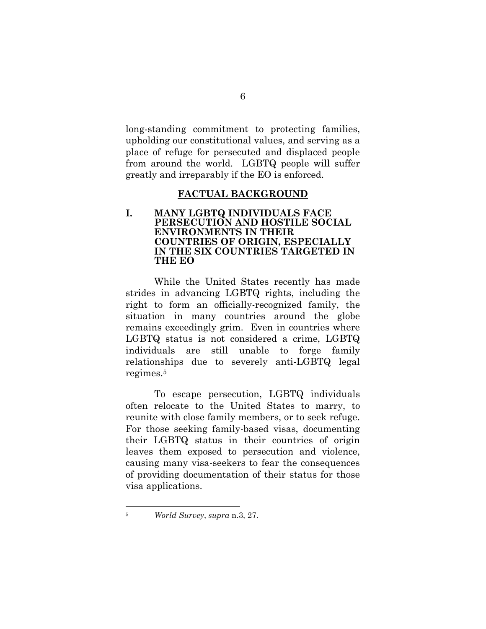long-standing commitment to protecting families, upholding our constitutional values, and serving as a place of refuge for persecuted and displaced people from around the world. LGBTQ people will suffer greatly and irreparably if the EO is enforced.

#### **FACTUAL BACKGROUND**

#### **I. MANY LGBTQ INDIVIDUALS FACE PERSECUTION AND HOSTILE SOCIAL ENVIRONMENTS IN THEIR COUNTRIES OF ORIGIN, ESPECIALLY IN THE SIX COUNTRIES TARGETED IN THE EO**

While the United States recently has made strides in advancing LGBTQ rights, including the right to form an officially-recognized family, the situation in many countries around the globe remains exceedingly grim. Even in countries where LGBTQ status is not considered a crime, LGBTQ individuals are still unable to forge family relationships due to severely anti-LGBTQ legal regimes.<sup>5</sup>

To escape persecution, LGBTQ individuals often relocate to the United States to marry, to reunite with close family members, or to seek refuge. For those seeking family-based visas, documenting their LGBTQ status in their countries of origin leaves them exposed to persecution and violence, causing many visa-seekers to fear the consequences of providing documentation of their status for those visa applications.

<sup>5</sup> *World Survey*, *supra* n.3, 27.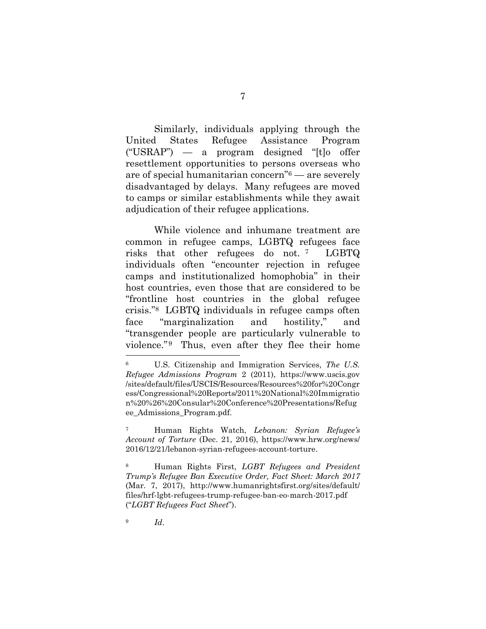Similarly, individuals applying through the United States Refugee Assistance Program ("USRAP") — a program designed "[t]o offer resettlement opportunities to persons overseas who are of special humanitarian concern"6 — are severely disadvantaged by delays. Many refugees are moved to camps or similar establishments while they await adjudication of their refugee applications.

While violence and inhumane treatment are common in refugee camps, LGBTQ refugees face risks that other refugees do not. <sup>7</sup> LGBTQ individuals often "encounter rejection in refugee camps and institutionalized homophobia" in their host countries, even those that are considered to be "frontline host countries in the global refugee crisis."8 LGBTQ individuals in refugee camps often face "marginalization and hostility," and "transgender people are particularly vulnerable to violence." Thus, even after they flee their home

<sup>7</sup> Human Rights Watch, *Lebanon: Syrian Refugee's Account of Torture* (Dec. 21, 2016), https://www.hrw.org/news/ 2016/12/21/lebanon-syrian-refugees-account-torture.

<sup>8</sup> Human Rights First, *LGBT Refugees and President Trump's Refugee Ban Executive Order, Fact Sheet: March 2017* (Mar. 7, 2017), http://www.humanrightsfirst.org/sites/default/ files/hrf-lgbt-refugees-trump-refugee-ban-eo-march-2017.pdf ("*LGBT Refugees Fact Sheet*").

<sup>9</sup> *Id*.

<sup>6</sup> U.S. Citizenship and Immigration Services, *The U.S. Refugee Admissions Program* 2 (2011), https://www.uscis.gov /sites/default/files/USCIS/Resources/Resources%20for%20Congr ess/Congressional%20Reports/2011%20National%20Immigratio n%20%26%20Consular%20Conference%20Presentations/Refug ee\_Admissions\_Program.pdf.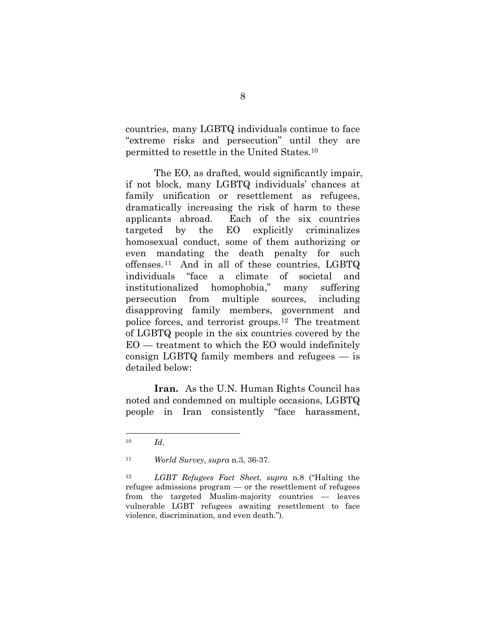countries, many LGBTQ individuals continue to face "extreme risks and persecution" until they are permitted to resettle in the United States.<sup>10</sup>

The EO, as drafted, would significantly impair, if not block, many LGBTQ individuals' chances at family unification or resettlement as refugees, dramatically increasing the risk of harm to these applicants abroad. Each of the six countries targeted by the EO explicitly criminalizes homosexual conduct, some of them authorizing or even mandating the death penalty for such offenses. <sup>11</sup> And in all of these countries, LGBTQ individuals "face a climate of societal and institutionalized homophobia," many suffering persecution from multiple sources, including disapproving family members, government and police forces, and terrorist groups.12 The treatment of LGBTQ people in the six countries covered by the EO — treatment to which the EO would indefinitely consign LGBTQ family members and refugees — is detailed below:

**Iran.** As the U.N. Human Rights Council has noted and condemned on multiple occasions, LGBTQ people in Iran consistently "face harassment,

<sup>10</sup> *Id*.

<sup>11</sup> *World Survey*, *supra* n.3, 36-37.

<sup>12</sup> *LGBT Refugees Fact Sheet*, *supra* n.8 ("Halting the refugee admissions program — or the resettlement of refugees from the targeted Muslim-majority countries — leaves vulnerable LGBT refugees awaiting resettlement to face violence, discrimination, and even death.").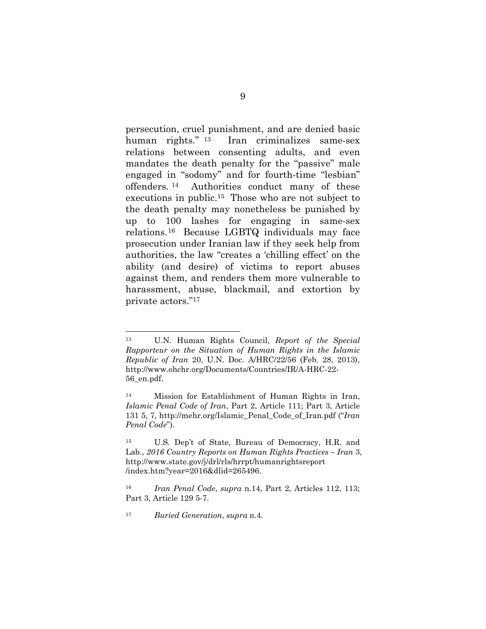persecution, cruel punishment, and are denied basic human rights." <sup>13</sup> Iran criminalizes same-sex relations between consenting adults, and even mandates the death penalty for the "passive" male engaged in "sodomy" and for fourth-time "lesbian" offenders. <sup>14</sup> Authorities conduct many of these executions in public.15 Those who are not subject to the death penalty may nonetheless be punished by up to 100 lashes for engaging in same-sex relations.16 Because LGBTQ individuals may face prosecution under Iranian law if they seek help from authorities, the law "creates a 'chilling effect' on the ability (and desire) of victims to report abuses against them, and renders them more vulnerable to harassment, abuse, blackmail, and extortion by private actors."<sup>17</sup>

<sup>13</sup> U.N. Human Rights Council, *Report of the Special Rapporteur on the Situation of Human Rights in the Islamic Republic of Iran* 20, U.N. Doc. A/HRC/22/56 (Feb. 28, 2013), http://www.ohchr.org/Documents/Countries/IR/A-HRC-22- 56\_en.pdf.

<sup>14</sup> Mission for Establishment of Human Rights in Iran, *Islamic Penal Code of Iran*, Part 2, Article 111; Part 3, Article 131 5, 7, http://mehr.org/Islamic\_Penal\_Code\_of\_Iran.pdf ("*Iran Penal Code*").

<sup>15</sup> U.S. Dep't of State, Bureau of Democracy, H.R. and Lab., *2016 Country Reports on Human Rights Practices – Iran* 3, http://www.state.gov/j/drl/rls/hrrpt/humanrightsreport /index.htm?year=2016&dlid=265496.

<sup>16</sup> *Iran Penal Code*, *supra* n.14, Part 2, Articles 112, 113; Part 3, Article 129 5-7.

<sup>17</sup> *Buried Generation*, *supra* n.4.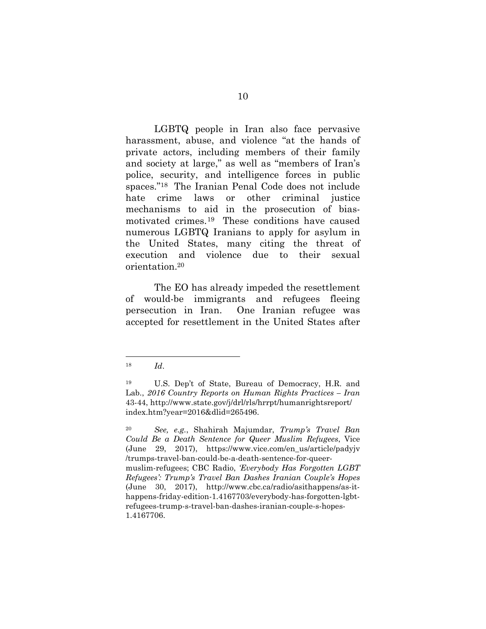LGBTQ people in Iran also face pervasive harassment, abuse, and violence "at the hands of private actors, including members of their family and society at large," as well as "members of Iran's police, security, and intelligence forces in public spaces."18 The Iranian Penal Code does not include hate crime laws or other criminal justice mechanisms to aid in the prosecution of biasmotivated crimes.19 These conditions have caused numerous LGBTQ Iranians to apply for asylum in the United States, many citing the threat of execution and violence due to their sexual orientation.<sup>20</sup>

The EO has already impeded the resettlement of would-be immigrants and refugees fleeing persecution in Iran. One Iranian refugee was accepted for resettlement in the United States after

<sup>18</sup> *Id*.

<sup>19</sup> U.S. Dep't of State, Bureau of Democracy, H.R. and Lab., *2016 Country Reports on Human Rights Practices – Iran* 43-44, http://www.state.gov/j/drl/rls/hrrpt/humanrightsreport/ index.htm?year=2016&dlid=265496.

<sup>20</sup> *See, e.g.*, Shahirah Majumdar, *Trump's Travel Ban Could Be a Death Sentence for Queer Muslim Refugees*, Vice (June 29, 2017), https://www.vice.com/en\_us/article/padyjv /trumps-travel-ban-could-be-a-death-sentence-for-queermuslim-refugees; CBC Radio, *'Everybody Has Forgotten LGBT Refugees': Trump's Travel Ban Dashes Iranian Couple's Hopes* (June 30, 2017), http://www.cbc.ca/radio/asithappens/as-ithappens-friday-edition-1.4167703/everybody-has-forgotten-lgbtrefugees-trump-s-travel-ban-dashes-iranian-couple-s-hopes-1.4167706.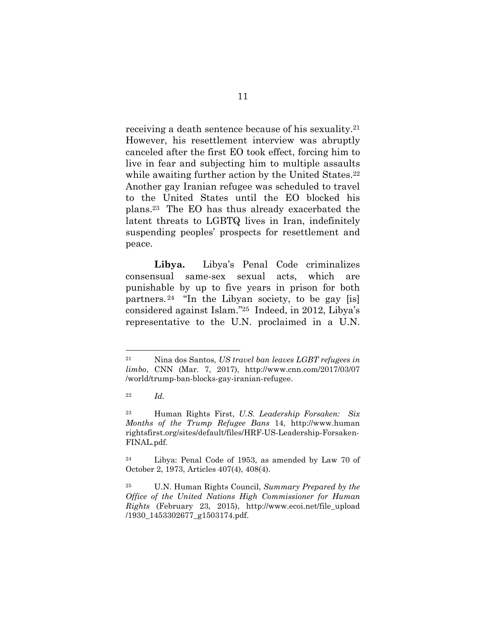receiving a death sentence because of his sexuality.<sup>21</sup> However, his resettlement interview was abruptly canceled after the first EO took effect, forcing him to live in fear and subjecting him to multiple assaults while awaiting further action by the United States.<sup>22</sup> Another gay Iranian refugee was scheduled to travel to the United States until the EO blocked his plans.23 The EO has thus already exacerbated the latent threats to LGBTQ lives in Iran, indefinitely suspending peoples' prospects for resettlement and peace.

**Libya.** Libya's Penal Code criminalizes consensual same-sex sexual acts, which are punishable by up to five years in prison for both partners. <sup>24</sup> "In the Libyan society, to be gay [is] considered against Islam."25 Indeed, in 2012, Libya's representative to the U.N. proclaimed in a U.N.

<sup>21</sup> Nina dos Santos, *US travel ban leaves LGBT refugees in limbo*, CNN (Mar. 7, 2017), http://www.cnn.com/2017/03/07 /world/trump-ban-blocks-gay-iranian-refugee.

<sup>22</sup> *Id.*

<sup>23</sup> Human Rights First, *U.S. Leadership Forsaken: Six Months of the Trump Refugee Bans* 14, http://www.human rightsfirst.org/sites/default/files/HRF-US-Leadership-Forsaken-FINAL.pdf.

<sup>24</sup> Libya: Penal Code of 1953, as amended by Law 70 of October 2, 1973, Articles 407(4), 408(4).

<sup>25</sup> U.N. Human Rights Council, *Summary Prepared by the Office of the United Nations High Commissioner for Human Rights* (February 23, 2015), http://www.ecoi.net/file\_upload /1930\_1453302677\_g1503174.pdf.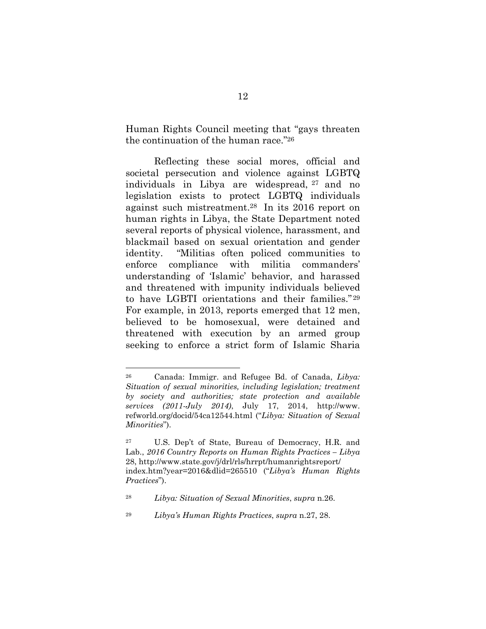Human Rights Council meeting that "gays threaten the continuation of the human race."<sup>26</sup>

Reflecting these social mores, official and societal persecution and violence against LGBTQ individuals in Libya are widespread, <sup>27</sup> and no legislation exists to protect LGBTQ individuals against such mistreatment.28 In its 2016 report on human rights in Libya, the State Department noted several reports of physical violence, harassment, and blackmail based on sexual orientation and gender identity. "Militias often policed communities to enforce compliance with militia commanders' understanding of 'Islamic' behavior, and harassed and threatened with impunity individuals believed to have LGBTI orientations and their families." <sup>29</sup> For example, in 2013, reports emerged that 12 men, believed to be homosexual, were detained and threatened with execution by an armed group seeking to enforce a strict form of Islamic Sharia

<sup>26</sup> Canada: Immigr. and Refugee Bd. of Canada, *Libya: Situation of sexual minorities, including legislation; treatment by society and authorities; state protection and available services (2011-July 2014)*, July 17, 2014, http://www. refworld.org/docid/54ca12544.html ("*Libya: Situation of Sexual Minorities*").

<sup>27</sup> U.S. Dep't of State, Bureau of Democracy, H.R. and Lab., *2016 Country Reports on Human Rights Practices – Libya* 28, http://www.state.gov/j/drl/rls/hrrpt/humanrightsreport/ index.htm?year=2016&dlid=265510 ("*Libya's Human Rights Practices*").

<sup>28</sup> *Libya: Situation of Sexual Minorities*, *supra* n.26.

<sup>29</sup> *Libya's Human Rights Practices*, *supra* n.27, 28.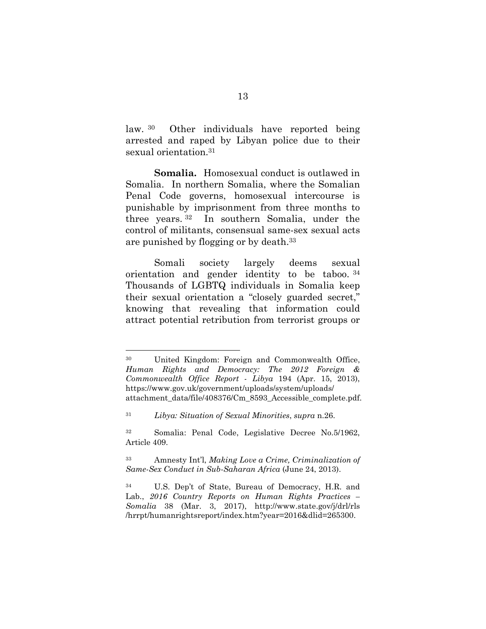law. <sup>30</sup> Other individuals have reported being arrested and raped by Libyan police due to their sexual orientation.<sup>31</sup>

**Somalia.** Homosexual conduct is outlawed in Somalia. In northern Somalia, where the Somalian Penal Code governs, homosexual intercourse is punishable by imprisonment from three months to three years. <sup>32</sup> In southern Somalia, under the control of militants, consensual same-sex sexual acts are punished by flogging or by death.<sup>33</sup>

Somali society largely deems sexual orientation and gender identity to be taboo. <sup>34</sup> Thousands of LGBTQ individuals in Somalia keep their sexual orientation a "closely guarded secret," knowing that revealing that information could attract potential retribution from terrorist groups or

<sup>30</sup> United Kingdom: Foreign and Commonwealth Office, *Human Rights and Democracy: The 2012 Foreign & Commonwealth Office Report - Libya* 194 (Apr. 15, 2013), https://www.gov.uk/government/uploads/system/uploads/ attachment\_data/file/408376/Cm\_8593\_Accessible\_complete.pdf.

<sup>31</sup> *Libya: Situation of Sexual Minorities*, *supra* n.26.

<sup>32</sup> Somalia: Penal Code, Legislative Decree No.5/1962, Article 409.

<sup>33</sup> Amnesty Int'l, *Making Love a Crime, Criminalization of Same-Sex Conduct in Sub-Saharan Africa* (June 24, 2013).

<sup>34</sup> U.S. Dep't of State, Bureau of Democracy, H.R. and Lab., 2016 Country Reports on Human Rights Practices – *Somalia* 38 (Mar. 3, 2017), http://www.state.gov/j/drl/rls /hrrpt/humanrightsreport/index.htm?year=2016&dlid=265300.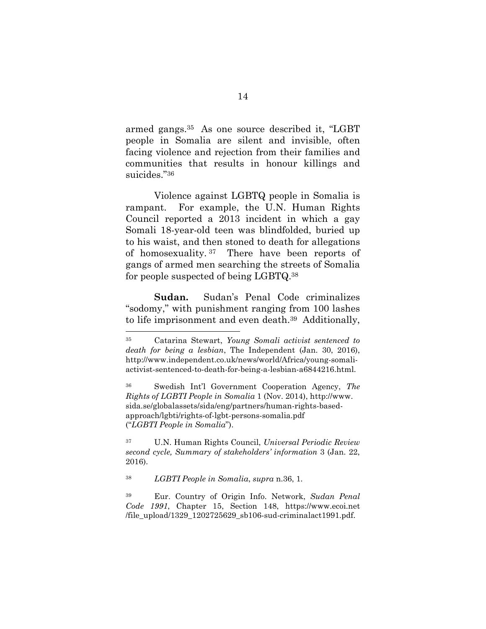armed gangs.35 As one source described it, "LGBT people in Somalia are silent and invisible, often facing violence and rejection from their families and communities that results in honour killings and suicides."<sup>36</sup>

Violence against LGBTQ people in Somalia is rampant. For example, the U.N. Human Rights Council reported a 2013 incident in which a gay Somali 18-year-old teen was blindfolded, buried up to his waist, and then stoned to death for allegations of homosexuality. <sup>37</sup> There have been reports of gangs of armed men searching the streets of Somalia for people suspected of being LGBTQ.<sup>38</sup>

**Sudan.** Sudan's Penal Code criminalizes "sodomy," with punishment ranging from 100 lashes to life imprisonment and even death.39 Additionally,

<sup>35</sup> Catarina Stewart, *Young Somali activist sentenced to death for being a lesbian*, The Independent (Jan. 30, 2016), http://www.independent.co.uk/news/world/Africa/young-somaliactivist-sentenced-to-death-for-being-a-lesbian-a6844216.html.

<sup>36</sup> Swedish Int'l Government Cooperation Agency, *The Rights of LGBTI People in Somalia* 1 (Nov. 2014), http://www. sida.se/globalassets/sida/eng/partners/human-rights-basedapproach/lgbti/rights-of-lgbt-persons-somalia.pdf ("*LGBTI People in Somalia*").

<sup>37</sup> U.N. Human Rights Council, *Universal Periodic Review second cycle, Summary of stakeholders' information* 3 (Jan. 22, 2016).

<sup>38</sup> *LGBTI People in Somalia*, *supra* n.36, 1.

<sup>39</sup> Eur. Country of Origin Info. Network, *Sudan Penal Code 1991*, Chapter 15, Section 148, https://www.ecoi.net /file\_upload/1329\_1202725629\_sb106-sud-criminalact1991.pdf.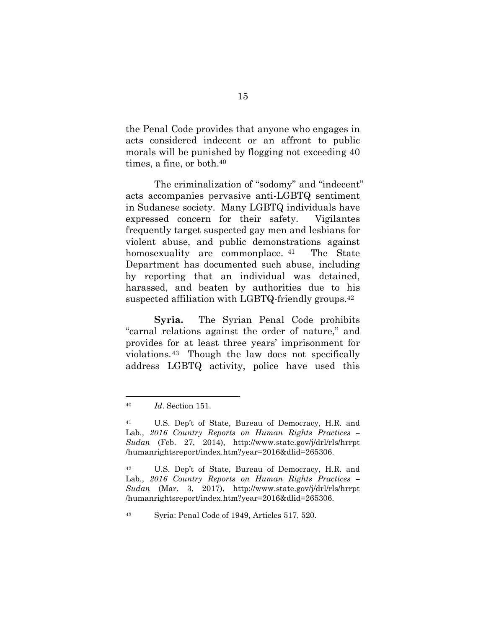the Penal Code provides that anyone who engages in acts considered indecent or an affront to public morals will be punished by flogging not exceeding 40 times, a fine, or both.<sup>40</sup>

The criminalization of "sodomy" and "indecent" acts accompanies pervasive anti-LGBTQ sentiment in Sudanese society. Many LGBTQ individuals have expressed concern for their safety. Vigilantes frequently target suspected gay men and lesbians for violent abuse, and public demonstrations against homosexuality are commonplace. <sup>41</sup> The State Department has documented such abuse, including by reporting that an individual was detained, harassed, and beaten by authorities due to his suspected affiliation with LGBTQ-friendly groups.<sup>42</sup>

**Syria.** The Syrian Penal Code prohibits "carnal relations against the order of nature," and provides for at least three years' imprisonment for violations.43 Though the law does not specifically address LGBTQ activity, police have used this

<sup>43</sup> Syria: Penal Code of 1949, Articles 517, 520.

<sup>40</sup> *Id*. Section 151.

<sup>41</sup> U.S. Dep't of State, Bureau of Democracy, H.R. and Lab., *2016 Country Reports on Human Rights Practices – Sudan* (Feb. 27, 2014), http://www.state.gov/j/drl/rls/hrrpt /humanrightsreport/index.htm?year=2016&dlid=265306.

<sup>42</sup> U.S. Dep't of State, Bureau of Democracy, H.R. and Lab., *2016 Country Reports on Human Rights Practices – Sudan* (Mar. 3, 2017), http://www.state.gov/j/drl/rls/hrrpt /humanrightsreport/index.htm?year=2016&dlid=265306.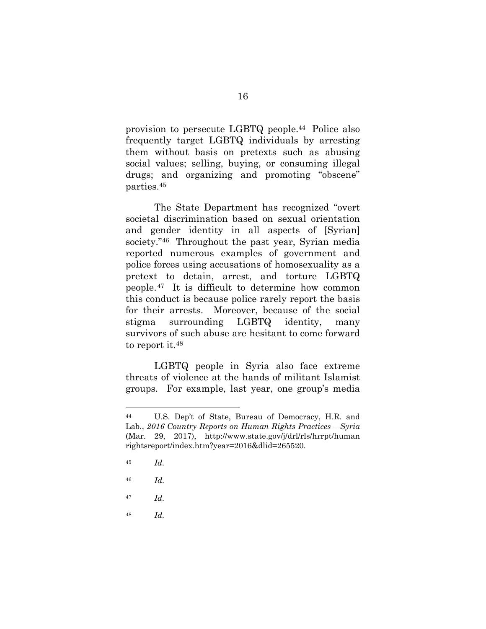provision to persecute LGBTQ people.44 Police also frequently target LGBTQ individuals by arresting them without basis on pretexts such as abusing social values; selling, buying, or consuming illegal drugs; and organizing and promoting "obscene" parties.<sup>45</sup>

The State Department has recognized "overt societal discrimination based on sexual orientation and gender identity in all aspects of [Syrian] society.<sup>"46</sup> Throughout the past year, Syrian media reported numerous examples of government and police forces using accusations of homosexuality as a pretext to detain, arrest, and torture LGBTQ people.47 It is difficult to determine how common this conduct is because police rarely report the basis for their arrests. Moreover, because of the social stigma surrounding LGBTQ identity, many survivors of such abuse are hesitant to come forward to report it.<sup>48</sup>

LGBTQ people in Syria also face extreme threats of violence at the hands of militant Islamist groups. For example, last year, one group's media

<sup>44</sup> U.S. Dep't of State, Bureau of Democracy, H.R. and Lab., *2016 Country Reports on Human Rights Practices – Syria* (Mar. 29, 2017), http://www.state.gov/j/drl/rls/hrrpt/human rightsreport/index.htm?year=2016&dlid=265520.

<sup>45</sup> *Id.*

<sup>46</sup> *Id.*

<sup>47</sup> *Id.*

<sup>48</sup> *Id.*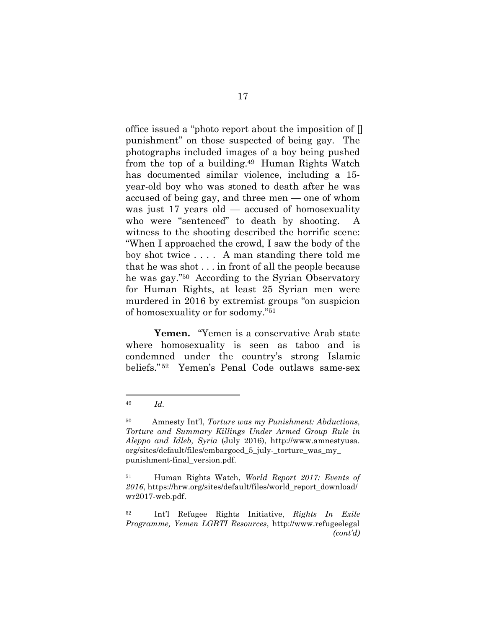office issued a "photo report about the imposition of [] punishment" on those suspected of being gay. The photographs included images of a boy being pushed from the top of a building.49 Human Rights Watch has documented similar violence, including a 15 year-old boy who was stoned to death after he was accused of being gay, and three men — one of whom was just 17 years old — accused of homosexuality who were "sentenced" to death by shooting. A witness to the shooting described the horrific scene: "When I approached the crowd, I saw the body of the boy shot twice . . . . A man standing there told me that he was shot . . . in front of all the people because he was gay."50 According to the Syrian Observatory for Human Rights, at least 25 Syrian men were murdered in 2016 by extremist groups "on suspicion of homosexuality or for sodomy."<sup>51</sup>

**Yemen.** "Yemen is a conservative Arab state where homosexuality is seen as taboo and is condemned under the country's strong Islamic beliefs." <sup>52</sup> Yemen's Penal Code outlaws same-sex

<sup>49</sup> *Id.*

<sup>50</sup> Amnesty Int'l, *Torture was my Punishment: Abductions, Torture and Summary Killings Under Armed Group Rule in Aleppo and Idleb, Syria* (July 2016), http://www.amnestyusa. org/sites/default/files/embargoed\_5\_july-\_torture\_was\_my\_ punishment-final\_version.pdf.

<sup>51</sup> Human Rights Watch, *World Report 2017: Events of 2016*, https://hrw.org/sites/default/files/world\_report\_download/ wr2017-web.pdf.

<sup>52</sup> Int'l Refugee Rights Initiative, *Rights In Exile Programme, Yemen LGBTI Resources*, http://www.refugeelegal *(cont'd)*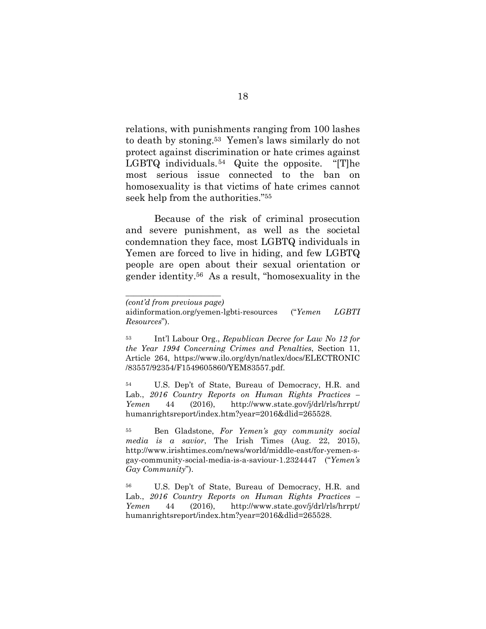relations, with punishments ranging from 100 lashes to death by stoning.53 Yemen's laws similarly do not protect against discrimination or hate crimes against LGBTQ individuals.54 Quite the opposite. "[T]he most serious issue connected to the ban on homosexuality is that victims of hate crimes cannot seek help from the authorities."<sup>55</sup>

Because of the risk of criminal prosecution and severe punishment, as well as the societal condemnation they face, most LGBTQ individuals in Yemen are forced to live in hiding, and few LGBTQ people are open about their sexual orientation or gender identity.56 As a result, "homosexuality in the

<sup>54</sup> U.S. Dep't of State, Bureau of Democracy, H.R. and Lab., 2016 Country Reports on Human Rights Practices – *Yemen* 44 (2016), http://www.state.gov/j/drl/rls/hrrpt/ humanrightsreport/index.htm?year=2016&dlid=265528.

<sup>55</sup> Ben Gladstone, *For Yemen's gay community social media is a savior*, The Irish Times (Aug. 22, 2015), http://www.irishtimes.com/news/world/middle-east/for-yemen-sgay-community-social-media-is-a-saviour-1.2324447 ("*Yemen's Gay Community*").

<sup>56</sup> U.S. Dep't of State, Bureau of Democracy, H.R. and Lab., 2016 Country Reports on Human Rights Practices – *Yemen* 44 (2016), http://www.state.gov/j/drl/rls/hrrpt/ humanrightsreport/index.htm?year=2016&dlid=265528.

*\_\_\_\_\_\_\_\_\_\_\_\_\_\_\_\_\_\_\_\_\_\_\_\_ (cont'd from previous page)*

aidinformation.org/yemen-lgbti-resources ("*Yemen LGBTI Resources*").

<sup>53</sup> Int'l Labour Org., *Republican Decree for Law No 12 for the Year 1994 Concerning Crimes and Penalties*, Section 11, Article 264, https://www.ilo.org/dyn/natlex/docs/ELECTRONIC /83557/92354/F1549605860/YEM83557.pdf.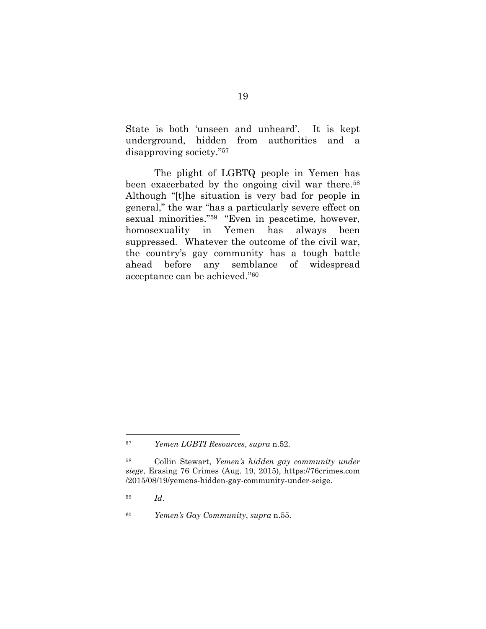State is both 'unseen and unheard'. It is kept underground, hidden from authorities and a disapproving society."<sup>57</sup>

The plight of LGBTQ people in Yemen has been exacerbated by the ongoing civil war there.<sup>58</sup> Although "[t]he situation is very bad for people in general," the war "has a particularly severe effect on sexual minorities."59 "Even in peacetime, however, homosexuality in Yemen has always been suppressed. Whatever the outcome of the civil war, the country's gay community has a tough battle ahead before any semblance of widespread acceptance can be achieved."<sup>60</sup>

<sup>57</sup> *Yemen LGBTI Resources*, *supra* n.52.

<sup>58</sup> Collin Stewart, *Yemen's hidden gay community under siege*, Erasing 76 Crimes (Aug. 19, 2015), https://76crimes.com /2015/08/19/yemens-hidden-gay-community-under-seige.

<sup>59</sup> *Id*.

<sup>60</sup> *Yemen's Gay Community*, *supra* n.55.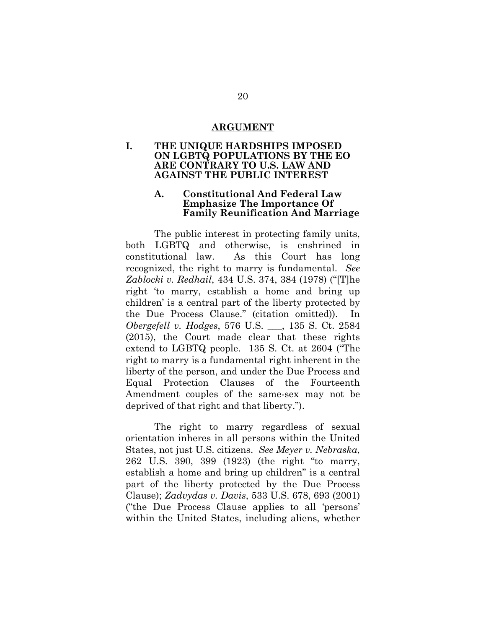#### **ARGUMENT**

#### **I. THE UNIQUE HARDSHIPS IMPOSED ON LGBTQ POPULATIONS BY THE EO ARE CONTRARY TO U.S. LAW AND AGAINST THE PUBLIC INTEREST**

#### **A. Constitutional And Federal Law Emphasize The Importance Of Family Reunification And Marriage**

The public interest in protecting family units, both LGBTQ and otherwise, is enshrined in constitutional law. As this Court has long recognized, the right to marry is fundamental. *See Zablocki v. Redhail*, 434 U.S. 374, 384 (1978) ("[T]he right 'to marry, establish a home and bring up children' is a central part of the liberty protected by the Due Process Clause." (citation omitted)). *Obergefell v. Hodges*, 576 U.S. \_\_\_, 135 S. Ct. 2584 (2015), the Court made clear that these rights extend to LGBTQ people. 135 S. Ct. at 2604 ("The right to marry is a fundamental right inherent in the liberty of the person, and under the Due Process and Equal Protection Clauses of the Fourteenth Amendment couples of the same-sex may not be deprived of that right and that liberty.").

The right to marry regardless of sexual orientation inheres in all persons within the United States, not just U.S. citizens. *See Meyer v. Nebraska*, 262 U.S. 390, 399 (1923) (the right "to marry, establish a home and bring up children" is a central part of the liberty protected by the Due Process Clause); *Zadvydas v. Davis*, 533 U.S. 678, 693 (2001) ("the Due Process Clause applies to all 'persons' within the United States, including aliens, whether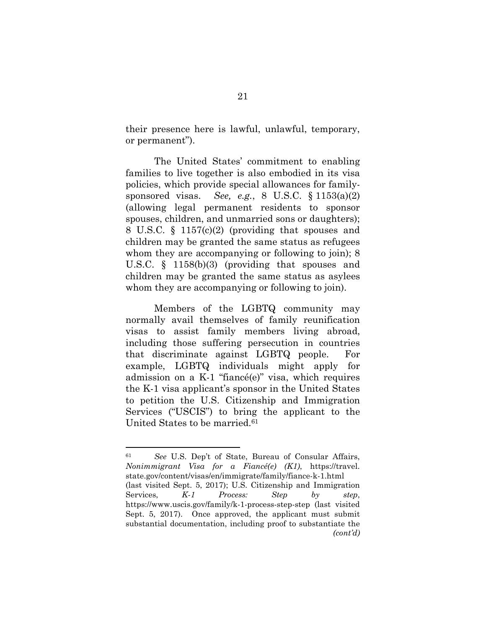their presence here is lawful, unlawful, temporary, or permanent").

The United States' commitment to enabling families to live together is also embodied in its visa policies, which provide special allowances for familysponsored visas. *See, e.g.*, 8 U.S.C. § 1153(a)(2) (allowing legal permanent residents to sponsor spouses, children, and unmarried sons or daughters); 8 U.S.C. § 1157(c)(2) (providing that spouses and children may be granted the same status as refugees whom they are accompanying or following to join); 8 U.S.C. § 1158(b)(3) (providing that spouses and children may be granted the same status as asylees whom they are accompanying or following to join).

Members of the LGBTQ community may normally avail themselves of family reunification visas to assist family members living abroad, including those suffering persecution in countries that discriminate against LGBTQ people. For example, LGBTQ individuals might apply for admission on a K-1 "fiancé(e)" visa, which requires the K-1 visa applicant's sponsor in the United States to petition the U.S. Citizenship and Immigration Services ("USCIS") to bring the applicant to the United States to be married.<sup>61</sup>

<sup>61</sup> *See* U.S. Dep't of State, Bureau of Consular Affairs, *Nonimmigrant Visa for a Fiancé(e) (K1)*, https://travel. state.gov/content/visas/en/immigrate/family/fiance-k-1.html (last visited Sept. 5, 2017); U.S. Citizenship and Immigration Services, *K-1 Process: Step by step*, https://www.uscis.gov/family/k-1-process-step-step (last visited Sept. 5, 2017). Once approved, the applicant must submit substantial documentation, including proof to substantiate the *(cont'd)*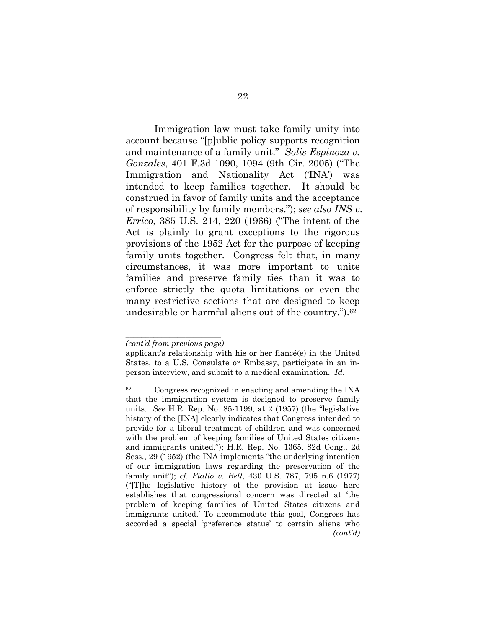Immigration law must take family unity into account because "[p]ublic policy supports recognition and maintenance of a family unit." *Solis-Espinoza v. Gonzales*, 401 F.3d 1090, 1094 (9th Cir. 2005) ("The Immigration and Nationality Act ('INA') was intended to keep families together. It should be construed in favor of family units and the acceptance of responsibility by family members."); *see also INS v. Errico*, 385 U.S. 214, 220 (1966) ("The intent of the Act is plainly to grant exceptions to the rigorous provisions of the 1952 Act for the purpose of keeping family units together. Congress felt that, in many circumstances, it was more important to unite families and preserve family ties than it was to enforce strictly the quota limitations or even the many restrictive sections that are designed to keep undesirable or harmful aliens out of the country.").<sup>62</sup>

*\_\_\_\_\_\_\_\_\_\_\_\_\_\_\_\_\_\_\_\_\_\_\_\_ (cont'd from previous page)*

applicant's relationship with his or her fiancé(e) in the United States, to a U.S. Consulate or Embassy, participate in an inperson interview, and submit to a medical examination. *Id*.

<sup>62</sup> Congress recognized in enacting and amending the INA that the immigration system is designed to preserve family units. *See* H.R. Rep. No. 85-1199, at 2 (1957) (the "legislative history of the [INA] clearly indicates that Congress intended to provide for a liberal treatment of children and was concerned with the problem of keeping families of United States citizens and immigrants united."); H.R. Rep. No. 1365, 82d Cong., 2d Sess., 29 (1952) (the INA implements "the underlying intention of our immigration laws regarding the preservation of the family unit"); *cf. Fiallo v. Bell*, 430 U.S. 787, 795 n.6 (1977) ("[T]he legislative history of the provision at issue here establishes that congressional concern was directed at 'the problem of keeping families of United States citizens and immigrants united.' To accommodate this goal, Congress has accorded a special 'preference status' to certain aliens who *(cont'd)*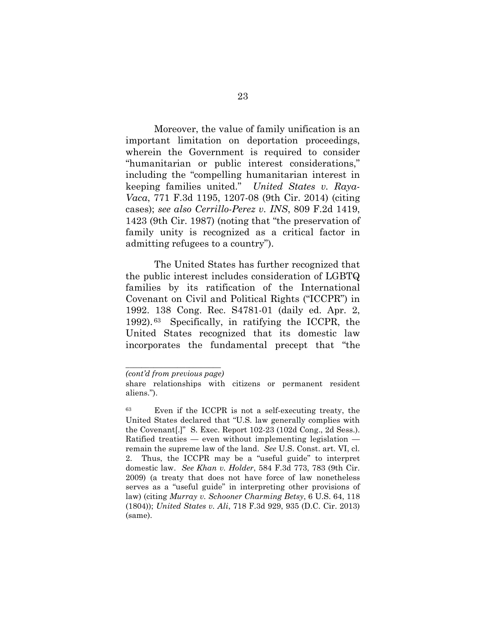Moreover, the value of family unification is an important limitation on deportation proceedings, wherein the Government is required to consider "humanitarian or public interest considerations," including the "compelling humanitarian interest in keeping families united." *United States v. Raya-Vaca*, 771 F.3d 1195, 1207-08 (9th Cir. 2014) (citing cases); *see also Cerrillo-Perez v. INS*, 809 F.2d 1419, 1423 (9th Cir. 1987) (noting that "the preservation of family unity is recognized as a critical factor in admitting refugees to a country").

The United States has further recognized that the public interest includes consideration of LGBTQ families by its ratification of the International Covenant on Civil and Political Rights ("ICCPR") in 1992. 138 Cong. Rec. S4781-01 (daily ed. Apr. 2, 1992). <sup>63</sup> Specifically, in ratifying the ICCPR, the United States recognized that its domestic law incorporates the fundamental precept that "the

*\_\_\_\_\_\_\_\_\_\_\_\_\_\_\_\_\_\_\_\_\_\_\_\_ (cont'd from previous page)*

share relationships with citizens or permanent resident aliens.").

<sup>63</sup> Even if the ICCPR is not a self-executing treaty, the United States declared that "U.S. law generally complies with the Covenant[.]" S. Exec. Report 102-23 (102d Cong., 2d Sess.). Ratified treaties — even without implementing legislation remain the supreme law of the land. *See* U.S. Const. art. VI, cl. 2. Thus, the ICCPR may be a "useful guide" to interpret domestic law. *See Khan v. Holder*, 584 F.3d 773, 783 (9th Cir. 2009) (a treaty that does not have force of law nonetheless serves as a "useful guide" in interpreting other provisions of law) (citing *Murray v. Schooner Charming Betsy*, 6 U.S. 64, 118 (1804)); *United States v. Ali*, 718 F.3d 929, 935 (D.C. Cir. 2013) (same).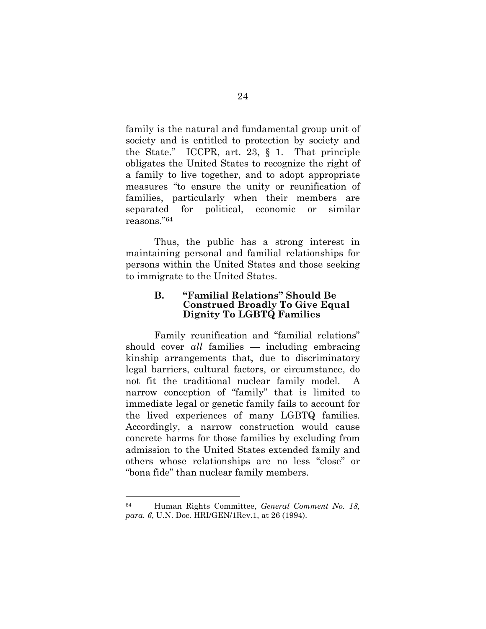family is the natural and fundamental group unit of society and is entitled to protection by society and the State." ICCPR, art. 23, § 1. That principle obligates the United States to recognize the right of a family to live together, and to adopt appropriate measures "to ensure the unity or reunification of families, particularly when their members are separated for political, economic or similar reasons."<sup>64</sup>

Thus, the public has a strong interest in maintaining personal and familial relationships for persons within the United States and those seeking to immigrate to the United States.

### **B. "Familial Relations" Should Be Construed Broadly To Give Equal Dignity To LGBTQ Families**

Family reunification and "familial relations" should cover *all* families — including embracing kinship arrangements that, due to discriminatory legal barriers, cultural factors, or circumstance, do not fit the traditional nuclear family model. narrow conception of "family" that is limited to immediate legal or genetic family fails to account for the lived experiences of many LGBTQ families. Accordingly, a narrow construction would cause concrete harms for those families by excluding from admission to the United States extended family and others whose relationships are no less "close" or "bona fide" than nuclear family members.

<sup>64</sup> Human Rights Committee, *General Comment No. 18, para. 6*, U.N. Doc. HRI/GEN/1Rev.1, at 26 (1994).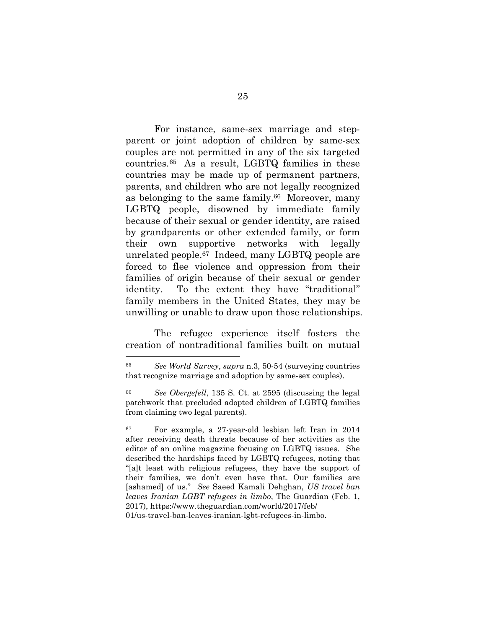For instance, same-sex marriage and stepparent or joint adoption of children by same-sex couples are not permitted in any of the six targeted countries.65 As a result, LGBTQ families in these countries may be made up of permanent partners, parents, and children who are not legally recognized as belonging to the same family.<sup>66</sup> Moreover, many LGBTQ people, disowned by immediate family because of their sexual or gender identity, are raised by grandparents or other extended family, or form their own supportive networks with legally unrelated people.67 Indeed, many LGBTQ people are forced to flee violence and oppression from their families of origin because of their sexual or gender identity. To the extent they have "traditional" family members in the United States, they may be unwilling or unable to draw upon those relationships.

The refugee experience itself fosters the creation of nontraditional families built on mutual

<sup>65</sup> *See World Survey*, *supra* n.3, 50-54 (surveying countries that recognize marriage and adoption by same-sex couples).

<sup>66</sup> *See Obergefell*, 135 S. Ct. at 2595 (discussing the legal patchwork that precluded adopted children of LGBTQ families from claiming two legal parents).

<sup>67</sup> For example, a 27-year-old lesbian left Iran in 2014 after receiving death threats because of her activities as the editor of an online magazine focusing on LGBTQ issues. She described the hardships faced by LGBTQ refugees, noting that "[a]t least with religious refugees, they have the support of their families, we don't even have that. Our families are [ashamed] of us." *See* Saeed Kamali Dehghan, *US travel ban leaves Iranian LGBT refugees in limbo*, The Guardian (Feb. 1, 2017), https://www.theguardian.com/world/2017/feb/ 01/us-travel-ban-leaves-iranian-lgbt-refugees-in-limbo.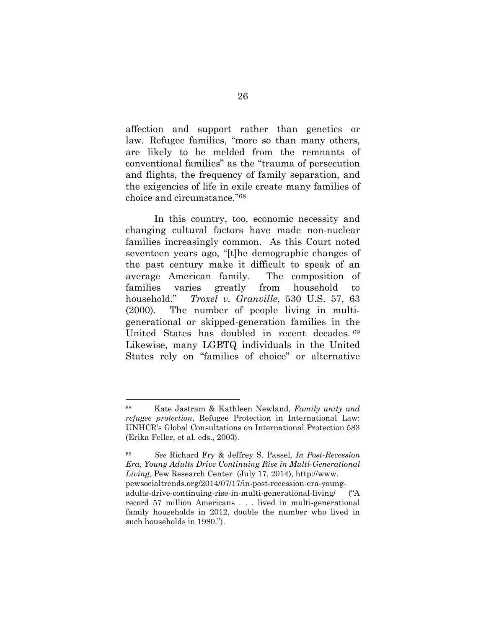affection and support rather than genetics or law. Refugee families, "more so than many others, are likely to be melded from the remnants of conventional families" as the "trauma of persecution and flights, the frequency of family separation, and the exigencies of life in exile create many families of choice and circumstance."<sup>68</sup>

In this country, too, economic necessity and changing cultural factors have made non-nuclear families increasingly common. As this Court noted seventeen years ago, "[t]he demographic changes of the past century make it difficult to speak of an average American family. The composition of families varies greatly from household to household." *Troxel v. Granville*, 530 U.S. 57, 63 (2000). The number of people living in multigenerational or skipped-generation families in the United States has doubled in recent decades. <sup>69</sup> Likewise, many LGBTQ individuals in the United States rely on "families of choice" or alternative

<sup>68</sup> Kate Jastram & Kathleen Newland, *Family unity and refugee protection*, Refugee Protection in International Law: UNHCR's Global Consultations on International Protection 583 (Erika Feller, et al. eds., 2003).

<sup>69</sup> *See* Richard Fry & Jeffrey S. Passel, *In Post-Recession Era, Young Adults Drive Continuing Rise in Multi-Generational Living*, Pew Research Center (July 17, 2014), http://www. pewsocialtrends.org/2014/07/17/in-post-recession-era-youngadults-drive-continuing-rise-in-multi-generational-living/ ("A record 57 million Americans . . . lived in multi-generational family households in 2012, double the number who lived in such households in 1980.").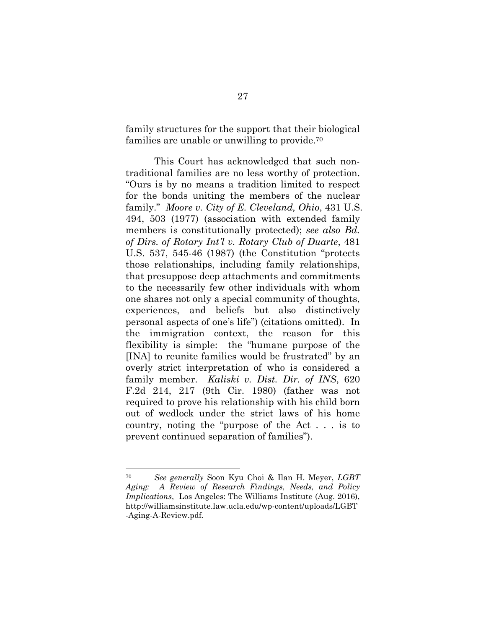family structures for the support that their biological families are unable or unwilling to provide.<sup>70</sup>

This Court has acknowledged that such nontraditional families are no less worthy of protection. "Ours is by no means a tradition limited to respect for the bonds uniting the members of the nuclear family." *Moore v. City of E. Cleveland, Ohio*, 431 U.S. 494, 503 (1977) (association with extended family members is constitutionally protected); *see also Bd. of Dirs. of Rotary Int'l v. Rotary Club of Duarte*, 481 U.S. 537, 545-46 (1987) (the Constitution "protects those relationships, including family relationships, that presuppose deep attachments and commitments to the necessarily few other individuals with whom one shares not only a special community of thoughts, experiences, and beliefs but also distinctively personal aspects of one's life") (citations omitted). In the immigration context, the reason for this flexibility is simple: the "humane purpose of the [INA] to reunite families would be frustrated" by an overly strict interpretation of who is considered a family member. *Kaliski v. Dist. Dir. of INS*, 620 F.2d 214, 217 (9th Cir. 1980) (father was not required to prove his relationship with his child born out of wedlock under the strict laws of his home country, noting the "purpose of the Act . . . is to prevent continued separation of families").

<sup>70</sup> *See generally* Soon Kyu Choi & Ilan H. Meyer, *LGBT Aging: A Review of Research Findings, Needs, and Policy Implications*, Los Angeles: The Williams Institute (Aug. 2016), http://williamsinstitute.law.ucla.edu/wp-content/uploads/LGBT -Aging-A-Review.pdf.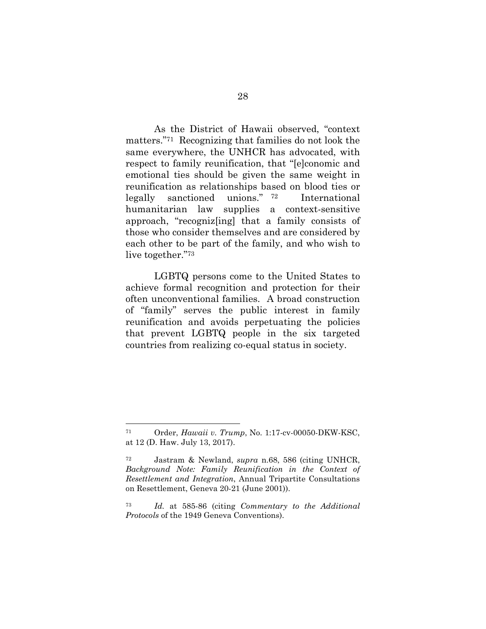As the District of Hawaii observed, "context matters."71 Recognizing that families do not look the same everywhere, the UNHCR has advocated, with respect to family reunification, that "[e]conomic and emotional ties should be given the same weight in reunification as relationships based on blood ties or legally sanctioned unions." <sup>72</sup> International humanitarian law supplies a context-sensitive approach, "recogniz[ing] that a family consists of those who consider themselves and are considered by each other to be part of the family, and who wish to live together."<sup>73</sup>

LGBTQ persons come to the United States to achieve formal recognition and protection for their often unconventional families. A broad construction of "family" serves the public interest in family reunification and avoids perpetuating the policies that prevent LGBTQ people in the six targeted countries from realizing co-equal status in society.

<sup>71</sup> Order, *Hawaii v. Trump*, No. 1:17-cv-00050-DKW-KSC, at 12 (D. Haw. July 13, 2017).

<sup>72</sup> Jastram & Newland, *supra* n.68, 586 (citing UNHCR, *Background Note: Family Reunification in the Context of Resettlement and Integration*, Annual Tripartite Consultations on Resettlement, Geneva 20-21 (June 2001)).

<sup>73</sup> *Id.* at 585-86 (citing *Commentary to the Additional Protocols* of the 1949 Geneva Conventions).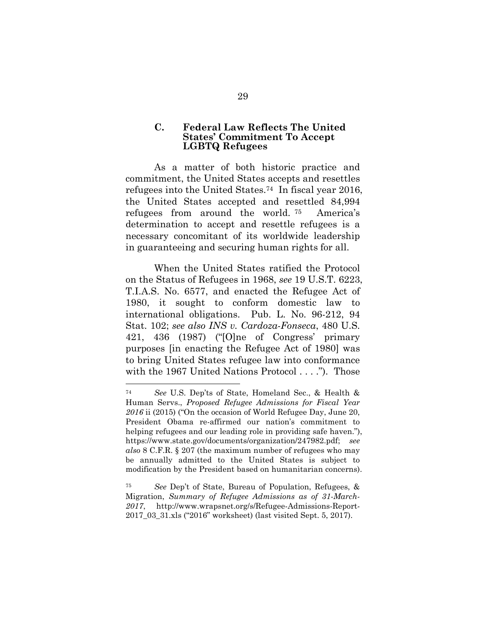### **C. Federal Law Reflects The United States' Commitment To Accept LGBTQ Refugees**

As a matter of both historic practice and commitment, the United States accepts and resettles refugees into the United States.74 In fiscal year 2016, the United States accepted and resettled 84,994 refugees from around the world. <sup>75</sup> America's determination to accept and resettle refugees is a necessary concomitant of its worldwide leadership in guaranteeing and securing human rights for all.

When the United States ratified the Protocol on the Status of Refugees in 1968, *see* 19 U.S.T. 6223, T.I.A.S. No. 6577, and enacted the Refugee Act of 1980, it sought to conform domestic law to international obligations. Pub. L. No. 96-212, 94 Stat. 102; *see also INS v. Cardoza-Fonseca*, 480 U.S. 421, 436 (1987) ("[O]ne of Congress' primary purposes [in enacting the Refugee Act of 1980] was to bring United States refugee law into conformance with the 1967 United Nations Protocol . . . ."). Those

<sup>74</sup> *See* U.S. Dep'ts of State, Homeland Sec., & Health & Human Servs., *Proposed Refugee Admissions for Fiscal Year 2016* ii (2015) ("On the occasion of World Refugee Day, June 20, President Obama re-affirmed our nation's commitment to helping refugees and our leading role in providing safe haven."), https://www.state.gov/documents/organization/247982.pdf; *see also* 8 C.F.R. § 207 (the maximum number of refugees who may be annually admitted to the United States is subject to modification by the President based on humanitarian concerns).

<sup>75</sup> *See* Dep't of State, Bureau of Population, Refugees, & Migration, *Summary of Refugee Admissions as of 31-March-2017*, http://www.wrapsnet.org/s/Refugee-Admissions-Report-2017\_03\_31.xls ("2016" worksheet) (last visited Sept. 5, 2017).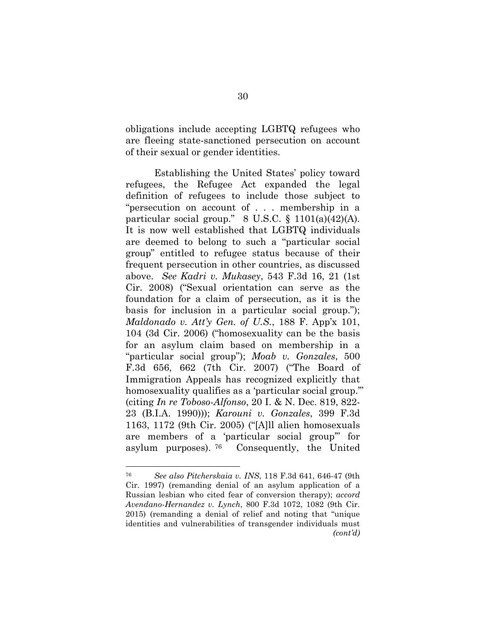obligations include accepting LGBTQ refugees who are fleeing state-sanctioned persecution on account of their sexual or gender identities.

Establishing the United States' policy toward refugees, the Refugee Act expanded the legal definition of refugees to include those subject to "persecution on account of . . . membership in a particular social group."  $8 \text{ U.S.C. } \S 1101(a)(42)(\text{A}).$ It is now well established that LGBTQ individuals are deemed to belong to such a "particular social group" entitled to refugee status because of their frequent persecution in other countries, as discussed above. *See Kadri v. Mukasey*, 543 F.3d 16, 21 (1st Cir. 2008) ("Sexual orientation can serve as the foundation for a claim of persecution, as it is the basis for inclusion in a particular social group."); *Maldonado v. Att'y Gen. of U.S.*, 188 F. App'x 101, 104 (3d Cir. 2006) ("homosexuality can be the basis for an asylum claim based on membership in a "particular social group"); *Moab v. Gonzales*, 500 F.3d 656, 662 (7th Cir. 2007) ("The Board of Immigration Appeals has recognized explicitly that homosexuality qualifies as a 'particular social group." (citing *In re Toboso-Alfonso*, 20 I. & N. Dec. 819, 822- 23 (B.I.A. 1990))); *Karouni v. Gonzales*, 399 F.3d 1163, 1172 (9th Cir. 2005) ("[A]ll alien homosexuals are members of a 'particular social group'" for asylum purposes). <sup>76</sup> Consequently, the United

<sup>76</sup> *See also Pitcherskaia v. INS*, 118 F.3d 641, 646-47 (9th Cir. 1997) (remanding denial of an asylum application of a Russian lesbian who cited fear of conversion therapy); *accord Avendano-Hernandez v. Lynch*, 800 F.3d 1072, 1082 (9th Cir. 2015) (remanding a denial of relief and noting that "unique identities and vulnerabilities of transgender individuals must *(cont'd)*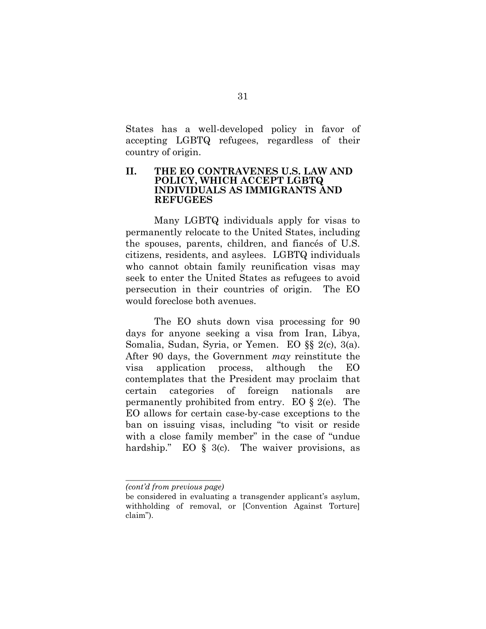States has a well-developed policy in favor of accepting LGBTQ refugees, regardless of their country of origin.

#### **II. THE EO CONTRAVENES U.S. LAW AND POLICY, WHICH ACCEPT LGBTQ INDIVIDUALS AS IMMIGRANTS AND REFUGEES**

Many LGBTQ individuals apply for visas to permanently relocate to the United States, including the spouses, parents, children, and fiancés of U.S. citizens, residents, and asylees. LGBTQ individuals who cannot obtain family reunification visas may seek to enter the United States as refugees to avoid persecution in their countries of origin. The EO would foreclose both avenues.

The EO shuts down visa processing for 90 days for anyone seeking a visa from Iran, Libya, Somalia, Sudan, Syria, or Yemen. EO §§ 2(c), 3(a). After 90 days, the Government *may* reinstitute the visa application process, although the EO contemplates that the President may proclaim that certain categories of foreign nationals are permanently prohibited from entry. EO § 2(e). The EO allows for certain case-by-case exceptions to the ban on issuing visas, including "to visit or reside with a close family member" in the case of "undue" hardship." EO  $\frac{1}{2}$  3(c). The waiver provisions, as

*\_\_\_\_\_\_\_\_\_\_\_\_\_\_\_\_\_\_\_\_\_\_\_\_ (cont'd from previous page)*

be considered in evaluating a transgender applicant's asylum, withholding of removal, or [Convention Against Torture] claim").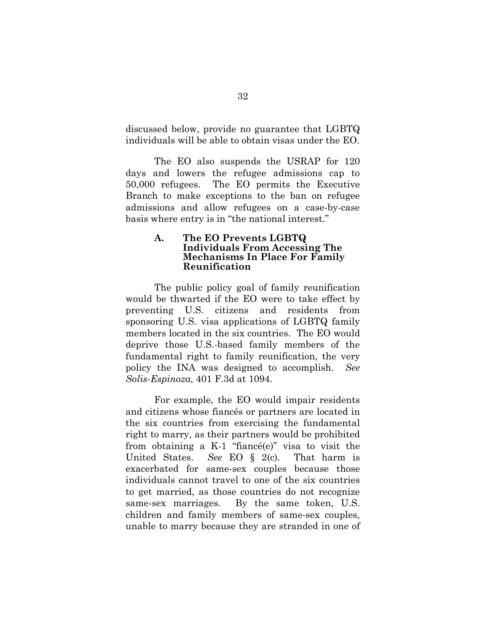discussed below, provide no guarantee that LGBTQ individuals will be able to obtain visas under the EO.

The EO also suspends the USRAP for 120 days and lowers the refugee admissions cap to 50,000 refugees. The EO permits the Executive Branch to make exceptions to the ban on refugee admissions and allow refugees on a case-by-case basis where entry is in "the national interest."

#### **A. The EO Prevents LGBTQ Individuals From Accessing The Mechanisms In Place For Family Reunification**

The public policy goal of family reunification would be thwarted if the EO were to take effect by preventing U.S. citizens and residents from sponsoring U.S. visa applications of LGBTQ family members located in the six countries. The EO would deprive those U.S.-based family members of the fundamental right to family reunification, the very policy the INA was designed to accomplish. *See Solis-Espinoza*, 401 F.3d at 1094.

For example, the EO would impair residents and citizens whose fiancés or partners are located in the six countries from exercising the fundamental right to marry, as their partners would be prohibited from obtaining a K-1 "fiancé(e)" visa to visit the United States. *See* EO § 2(c). That harm is exacerbated for same-sex couples because those individuals cannot travel to one of the six countries to get married, as those countries do not recognize same-sex marriages. By the same token, U.S. children and family members of same-sex couples, unable to marry because they are stranded in one of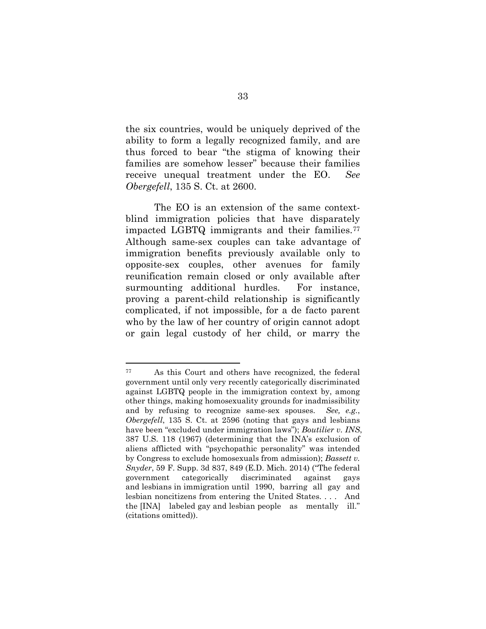the six countries, would be uniquely deprived of the ability to form a legally recognized family, and are thus forced to bear "the stigma of knowing their families are somehow lesser" because their families receive unequal treatment under the EO. *See Obergefell*, 135 S. Ct. at 2600.

The EO is an extension of the same contextblind immigration policies that have disparately impacted LGBTQ immigrants and their families.<sup>77</sup> Although same-sex couples can take advantage of immigration benefits previously available only to opposite-sex couples, other avenues for family reunification remain closed or only available after surmounting additional hurdles. For instance, proving a parent-child relationship is significantly complicated, if not impossible, for a de facto parent who by the law of her country of origin cannot adopt or gain legal custody of her child, or marry the

<sup>77</sup> As this Court and others have recognized, the federal government until only very recently categorically discriminated against LGBTQ people in the immigration context by, among other things, making homosexuality grounds for inadmissibility and by refusing to recognize same-sex spouses. *See, e.g.*, *Obergefell*, 135 S. Ct. at 2596 (noting that gays and lesbians have been "excluded under immigration laws"); *Boutilier v. INS*, 387 U.S. 118 (1967) (determining that the INA's exclusion of aliens afflicted with "psychopathic personality" was intended by Congress to exclude homosexuals from admission); *Bassett v. Snyder*, 59 F. Supp. 3d 837, 849 (E.D. Mich. 2014) ("The federal government categorically discriminated against gays and lesbians in immigration until 1990, barring all gay and lesbian noncitizens from entering the United States. . . . And the [INA] labeled gay and lesbian people as mentally ill." (citations omitted)).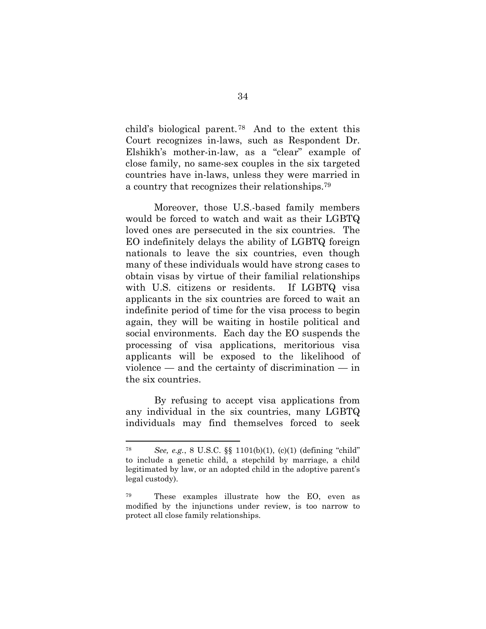child's biological parent.78 And to the extent this Court recognizes in-laws, such as Respondent Dr. Elshikh's mother-in-law, as a "clear" example of close family, no same-sex couples in the six targeted countries have in-laws, unless they were married in a country that recognizes their relationships.<sup>79</sup>

Moreover, those U.S.-based family members would be forced to watch and wait as their LGBTQ loved ones are persecuted in the six countries. The EO indefinitely delays the ability of LGBTQ foreign nationals to leave the six countries, even though many of these individuals would have strong cases to obtain visas by virtue of their familial relationships with U.S. citizens or residents. If LGBTQ visa applicants in the six countries are forced to wait an indefinite period of time for the visa process to begin again, they will be waiting in hostile political and social environments. Each day the EO suspends the processing of visa applications, meritorious visa applicants will be exposed to the likelihood of violence — and the certainty of discrimination — in the six countries.

By refusing to accept visa applications from any individual in the six countries, many LGBTQ individuals may find themselves forced to seek

<sup>78</sup> *See, e.g.*, 8 U.S.C. §§ 1101(b)(1), (c)(1) (defining "child" to include a genetic child, a stepchild by marriage, a child legitimated by law, or an adopted child in the adoptive parent's legal custody).

<sup>79</sup> These examples illustrate how the EO, even as modified by the injunctions under review, is too narrow to protect all close family relationships.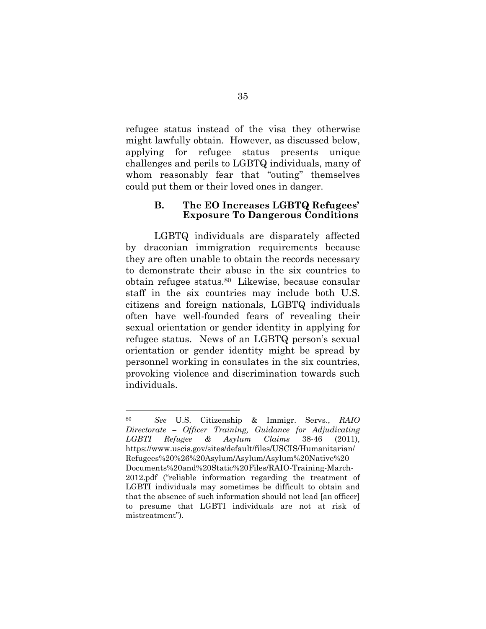refugee status instead of the visa they otherwise might lawfully obtain. However, as discussed below, applying for refugee status presents unique challenges and perils to LGBTQ individuals, many of whom reasonably fear that "outing" themselves could put them or their loved ones in danger.

#### **B. The EO Increases LGBTQ Refugees' Exposure To Dangerous Conditions**

LGBTQ individuals are disparately affected by draconian immigration requirements because they are often unable to obtain the records necessary to demonstrate their abuse in the six countries to obtain refugee status.80 Likewise, because consular staff in the six countries may include both U.S. citizens and foreign nationals, LGBTQ individuals often have well-founded fears of revealing their sexual orientation or gender identity in applying for refugee status. News of an LGBTQ person's sexual orientation or gender identity might be spread by personnel working in consulates in the six countries, provoking violence and discrimination towards such individuals.

<sup>80</sup> *See* U.S. Citizenship & Immigr. Servs., *RAIO Directorate – Officer Training, Guidance for Adjudicating LGBTI Refugee & Asylum Claims* 38-46 (2011), https://www.uscis.gov/sites/default/files/USCIS/Humanitarian/ Refugees%20%26%20Asylum/Asylum/Asylum%20Native%20 Documents%20and%20Static%20Files/RAIO-Training-March-2012.pdf ("reliable information regarding the treatment of LGBTI individuals may sometimes be difficult to obtain and that the absence of such information should not lead [an officer] to presume that LGBTI individuals are not at risk of mistreatment").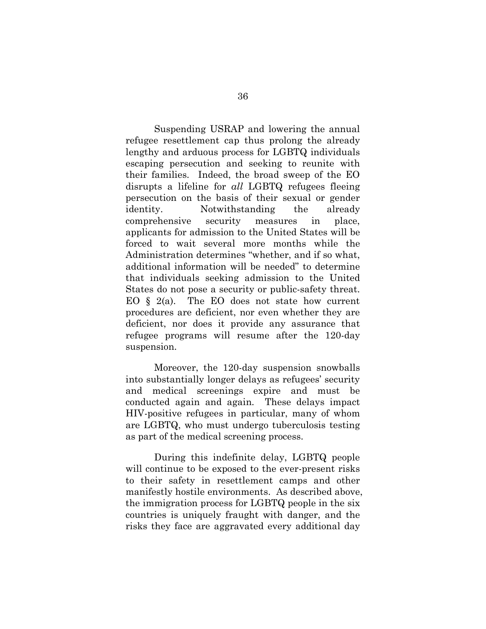Suspending USRAP and lowering the annual refugee resettlement cap thus prolong the already lengthy and arduous process for LGBTQ individuals escaping persecution and seeking to reunite with their families. Indeed, the broad sweep of the EO disrupts a lifeline for *all* LGBTQ refugees fleeing persecution on the basis of their sexual or gender identity. Notwithstanding the already comprehensive security measures in place, applicants for admission to the United States will be forced to wait several more months while the Administration determines "whether, and if so what, additional information will be needed" to determine that individuals seeking admission to the United States do not pose a security or public-safety threat. EO  $\S$  2(a). The EO does not state how current procedures are deficient, nor even whether they are deficient, nor does it provide any assurance that refugee programs will resume after the 120-day suspension.

Moreover, the 120-day suspension snowballs into substantially longer delays as refugees' security and medical screenings expire and must be conducted again and again. These delays impact HIV-positive refugees in particular, many of whom are LGBTQ, who must undergo tuberculosis testing as part of the medical screening process.

During this indefinite delay, LGBTQ people will continue to be exposed to the ever-present risks to their safety in resettlement camps and other manifestly hostile environments. As described above, the immigration process for LGBTQ people in the six countries is uniquely fraught with danger, and the risks they face are aggravated every additional day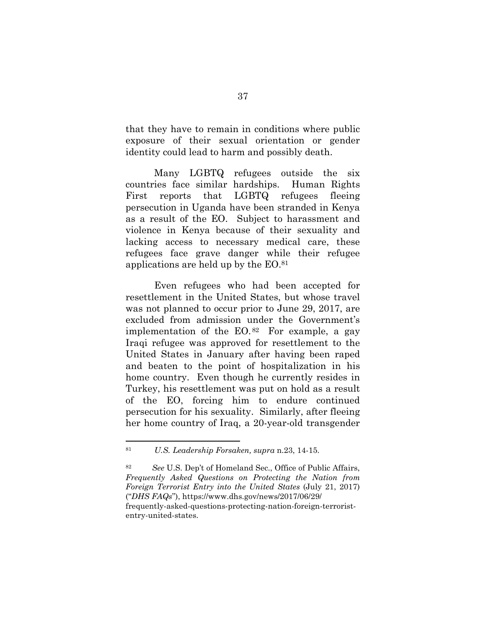that they have to remain in conditions where public exposure of their sexual orientation or gender identity could lead to harm and possibly death.

Many LGBTQ refugees outside the six countries face similar hardships. Human Rights First reports that LGBTQ refugees fleeing persecution in Uganda have been stranded in Kenya as a result of the EO. Subject to harassment and violence in Kenya because of their sexuality and lacking access to necessary medical care, these refugees face grave danger while their refugee applications are held up by the EO.<sup>81</sup>

Even refugees who had been accepted for resettlement in the United States, but whose travel was not planned to occur prior to June 29, 2017, are excluded from admission under the Government's implementation of the  $EO.$ <sup>82</sup> For example, a gay Iraqi refugee was approved for resettlement to the United States in January after having been raped and beaten to the point of hospitalization in his home country. Even though he currently resides in Turkey, his resettlement was put on hold as a result of the EO, forcing him to endure continued persecution for his sexuality. Similarly, after fleeing her home country of Iraq, a 20-year-old transgender

entry-united-states.

<sup>81</sup> *U.S. Leadership Forsaken, supra* n.23, 14-15.

<sup>82</sup> *See* U.S. Dep't of Homeland Sec., Office of Public Affairs, *Frequently Asked Questions on Protecting the Nation from Foreign Terrorist Entry into the United States* (July 21, 2017) ("*DHS FAQs*"), https://www.dhs.gov/news/2017/06/29/ frequently-asked-questions-protecting-nation-foreign-terrorist-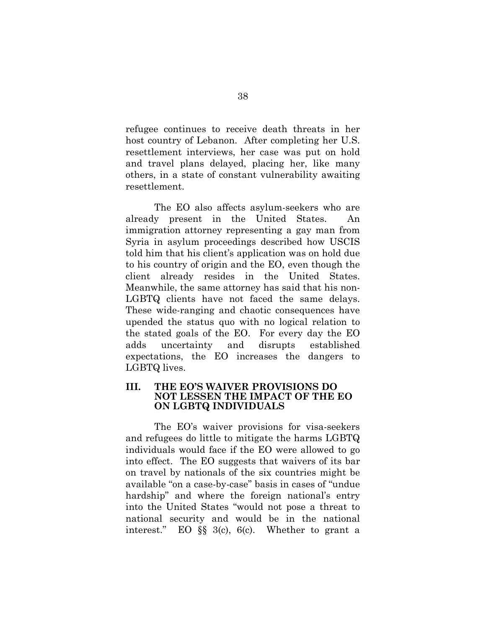refugee continues to receive death threats in her host country of Lebanon. After completing her U.S. resettlement interviews, her case was put on hold and travel plans delayed, placing her, like many others, in a state of constant vulnerability awaiting resettlement.

The EO also affects asylum-seekers who are already present in the United States. An immigration attorney representing a gay man from Syria in asylum proceedings described how USCIS told him that his client's application was on hold due to his country of origin and the EO, even though the client already resides in the United States. Meanwhile, the same attorney has said that his non-LGBTQ clients have not faced the same delays. These wide-ranging and chaotic consequences have upended the status quo with no logical relation to the stated goals of the EO. For every day the EO adds uncertainty and disrupts established expectations, the EO increases the dangers to LGBTQ lives.

### **III. THE EO'S WAIVER PROVISIONS DO NOT LESSEN THE IMPACT OF THE EO ON LGBTQ INDIVIDUALS**

The EO's waiver provisions for visa-seekers and refugees do little to mitigate the harms LGBTQ individuals would face if the EO were allowed to go into effect. The EO suggests that waivers of its bar on travel by nationals of the six countries might be available "on a case-by-case" basis in cases of "undue hardship" and where the foreign national's entry into the United States "would not pose a threat to national security and would be in the national interest." EO §§ 3(c), 6(c). Whether to grant a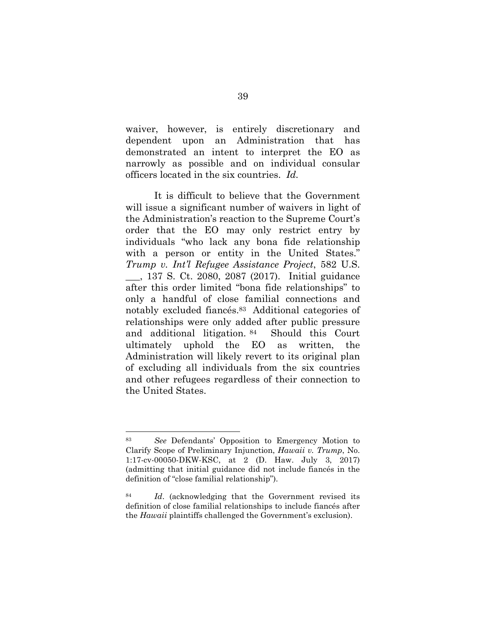waiver, however, is entirely discretionary and dependent upon an Administration that has demonstrated an intent to interpret the EO as narrowly as possible and on individual consular officers located in the six countries. *Id.* 

It is difficult to believe that the Government will issue a significant number of waivers in light of the Administration's reaction to the Supreme Court's order that the EO may only restrict entry by individuals "who lack any bona fide relationship with a person or entity in the United States." *Trump v. Int'l Refugee Assistance Project*, 582 U.S. \_\_\_, 137 S. Ct. 2080, 2087 (2017). Initial guidance after this order limited "bona fide relationships" to only a handful of close familial connections and notably excluded fiancés.83 Additional categories of relationships were only added after public pressure and additional litigation. <sup>84</sup> Should this Court ultimately uphold the EO as written, the Administration will likely revert to its original plan of excluding all individuals from the six countries and other refugees regardless of their connection to the United States.

<sup>83</sup> *See* Defendants' Opposition to Emergency Motion to Clarify Scope of Preliminary Injunction, *Hawaii v. Trump*, No. 1:17-cv-00050-DKW-KSC, at 2 (D. Haw. July 3, 2017) (admitting that initial guidance did not include fiancés in the definition of "close familial relationship").

<sup>84</sup> *Id*. (acknowledging that the Government revised its definition of close familial relationships to include fiancés after the *Hawaii* plaintiffs challenged the Government's exclusion).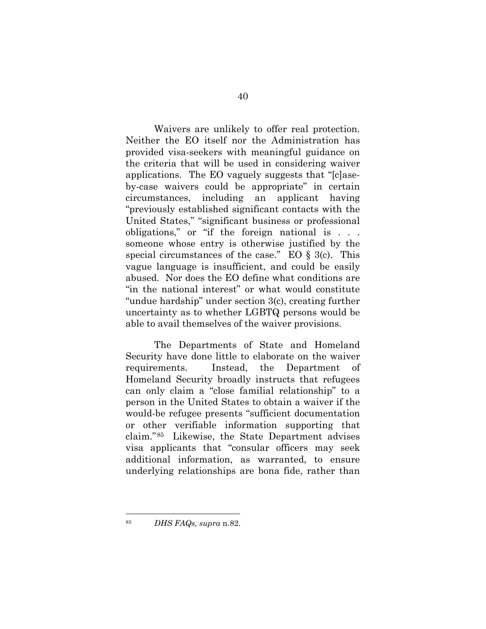Waivers are unlikely to offer real protection. Neither the EO itself nor the Administration has provided visa-seekers with meaningful guidance on the criteria that will be used in considering waiver applications. The EO vaguely suggests that "[c]aseby-case waivers could be appropriate" in certain circumstances, including an applicant having "previously established significant contacts with the United States," "significant business or professional obligations," or "if the foreign national is . . . someone whose entry is otherwise justified by the special circumstances of the case." EO  $\S$  3(c). This vague language is insufficient, and could be easily abused. Nor does the EO define what conditions are "in the national interest" or what would constitute "undue hardship" under section 3(c), creating further uncertainty as to whether LGBTQ persons would be able to avail themselves of the waiver provisions.

The Departments of State and Homeland Security have done little to elaborate on the waiver requirements. Instead, the Department of Homeland Security broadly instructs that refugees can only claim a "close familial relationship" to a person in the United States to obtain a waiver if the would-be refugee presents "sufficient documentation or other verifiable information supporting that claim."85 Likewise, the State Department advises visa applicants that "consular officers may seek additional information, as warranted, to ensure underlying relationships are bona fide, rather than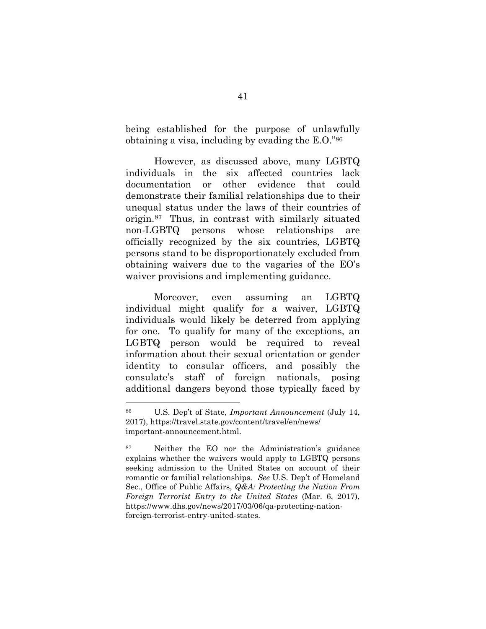being established for the purpose of unlawfully obtaining a visa, including by evading the E.O."<sup>86</sup>

However, as discussed above, many LGBTQ individuals in the six affected countries lack documentation or other evidence that could demonstrate their familial relationships due to their unequal status under the laws of their countries of origin.87 Thus, in contrast with similarly situated non-LGBTQ persons whose relationships are officially recognized by the six countries, LGBTQ persons stand to be disproportionately excluded from obtaining waivers due to the vagaries of the EO's waiver provisions and implementing guidance.

Moreover, even assuming an LGBTQ individual might qualify for a waiver, LGBTQ individuals would likely be deterred from applying for one. To qualify for many of the exceptions, an LGBTQ person would be required to reveal information about their sexual orientation or gender identity to consular officers, and possibly the consulate's staff of foreign nationals, posing additional dangers beyond those typically faced by

<sup>86</sup> U.S. Dep't of State, *Important Announcement* (July 14, 2017), https://travel.state.gov/content/travel/en/news/ important-announcement.html.

<sup>87</sup> Neither the EO nor the Administration's guidance explains whether the waivers would apply to LGBTQ persons seeking admission to the United States on account of their romantic or familial relationships. *See* U.S. Dep't of Homeland Sec., Office of Public Affairs, *Q&A: Protecting the Nation From Foreign Terrorist Entry to the United States* (Mar. 6, 2017), https://www.dhs.gov/news/2017/03/06/qa-protecting-nationforeign-terrorist-entry-united-states.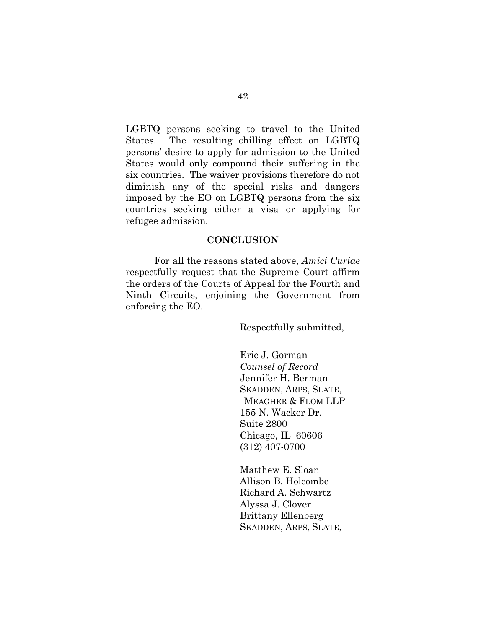LGBTQ persons seeking to travel to the United States. The resulting chilling effect on LGBTQ persons' desire to apply for admission to the United States would only compound their suffering in the six countries. The waiver provisions therefore do not diminish any of the special risks and dangers imposed by the EO on LGBTQ persons from the six countries seeking either a visa or applying for refugee admission.

#### **CONCLUSION**

For all the reasons stated above, *Amici Curiae* respectfully request that the Supreme Court affirm the orders of the Courts of Appeal for the Fourth and Ninth Circuits, enjoining the Government from enforcing the EO.

Respectfully submitted,

Eric J. Gorman *Counsel of Record* Jennifer H. Berman SKADDEN, ARPS, SLATE, MEAGHER & FLOM LLP 155 N. Wacker Dr. Suite 2800 Chicago, IL 60606 (312) 407-0700

Matthew E. Sloan Allison B. Holcombe Richard A. Schwartz Alyssa J. Clover Brittany Ellenberg SKADDEN, ARPS, SLATE,